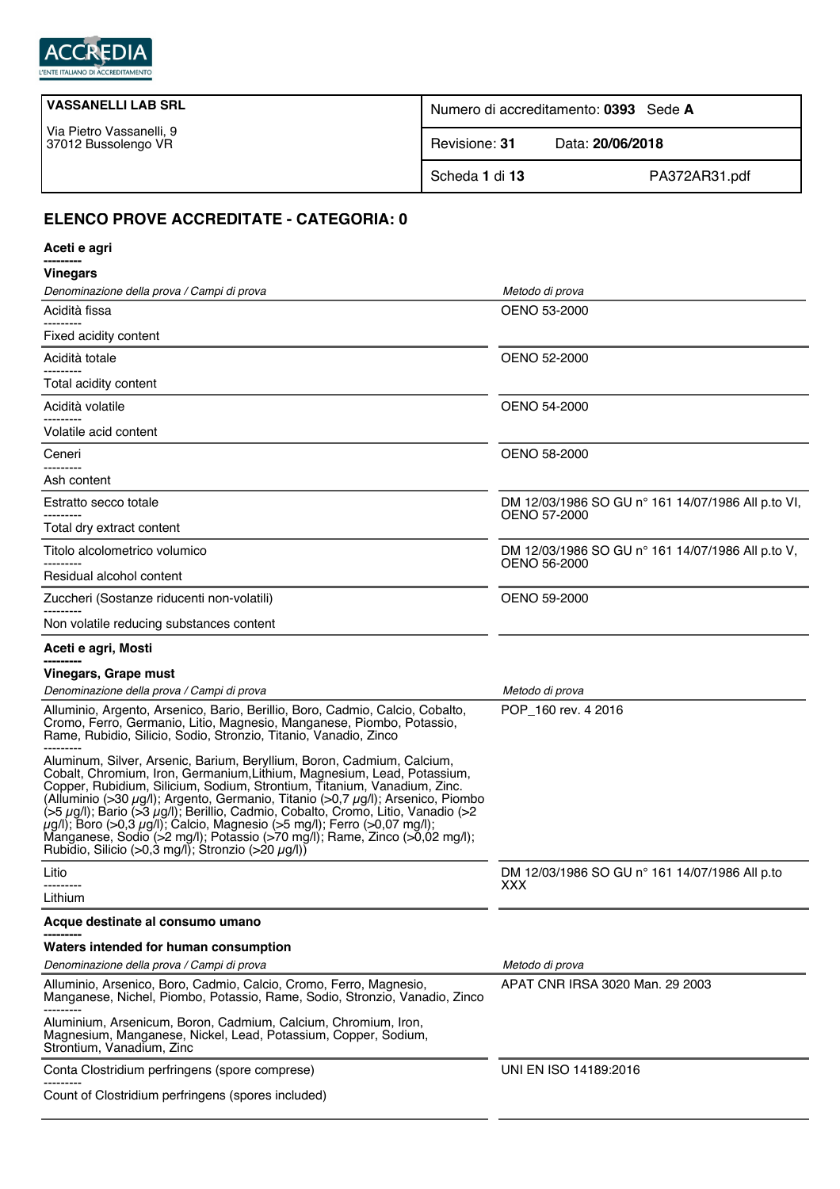

| Numero di accreditamento: 0393 Sede A |                  |
|---------------------------------------|------------------|
| Revisione: 31                         | Data: 20/06/2018 |
| Scheda 1 di 13                        | PA372AR31.pdf    |
|                                       |                  |

## **ELENCO PROVE ACCREDITATE - CATEGORIA: 0**

| Aceti e agri                                                                                                                                                                                                                                                                                                                                                                                                                                                                                                                                                                                                                                        |                                                                   |
|-----------------------------------------------------------------------------------------------------------------------------------------------------------------------------------------------------------------------------------------------------------------------------------------------------------------------------------------------------------------------------------------------------------------------------------------------------------------------------------------------------------------------------------------------------------------------------------------------------------------------------------------------------|-------------------------------------------------------------------|
| <b>Vinegars</b>                                                                                                                                                                                                                                                                                                                                                                                                                                                                                                                                                                                                                                     |                                                                   |
| Denominazione della prova / Campi di prova                                                                                                                                                                                                                                                                                                                                                                                                                                                                                                                                                                                                          | Metodo di prova                                                   |
| Acidità fissa<br>-------                                                                                                                                                                                                                                                                                                                                                                                                                                                                                                                                                                                                                            | OENO 53-2000                                                      |
| Fixed acidity content                                                                                                                                                                                                                                                                                                                                                                                                                                                                                                                                                                                                                               |                                                                   |
| Acidità totale                                                                                                                                                                                                                                                                                                                                                                                                                                                                                                                                                                                                                                      | <b>OENO 52-2000</b>                                               |
| Total acidity content                                                                                                                                                                                                                                                                                                                                                                                                                                                                                                                                                                                                                               |                                                                   |
| Acidità volatile                                                                                                                                                                                                                                                                                                                                                                                                                                                                                                                                                                                                                                    | OENO 54-2000                                                      |
| Volatile acid content                                                                                                                                                                                                                                                                                                                                                                                                                                                                                                                                                                                                                               |                                                                   |
| Ceneri                                                                                                                                                                                                                                                                                                                                                                                                                                                                                                                                                                                                                                              | OENO 58-2000                                                      |
| -------<br>Ash content                                                                                                                                                                                                                                                                                                                                                                                                                                                                                                                                                                                                                              |                                                                   |
| Estratto secco totale                                                                                                                                                                                                                                                                                                                                                                                                                                                                                                                                                                                                                               | DM 12/03/1986 SO GU n° 161 14/07/1986 All p.to VI,                |
| Total dry extract content                                                                                                                                                                                                                                                                                                                                                                                                                                                                                                                                                                                                                           | <b>OENO 57-2000</b>                                               |
| Titolo alcolometrico volumico                                                                                                                                                                                                                                                                                                                                                                                                                                                                                                                                                                                                                       | DM 12/03/1986 SO GU n° 161 14/07/1986 All p.to V,<br>OENO 56-2000 |
| Residual alcohol content                                                                                                                                                                                                                                                                                                                                                                                                                                                                                                                                                                                                                            |                                                                   |
| Zuccheri (Sostanze riducenti non-volatili)                                                                                                                                                                                                                                                                                                                                                                                                                                                                                                                                                                                                          | OENO 59-2000                                                      |
| Non volatile reducing substances content                                                                                                                                                                                                                                                                                                                                                                                                                                                                                                                                                                                                            |                                                                   |
| Aceti e agri, Mosti                                                                                                                                                                                                                                                                                                                                                                                                                                                                                                                                                                                                                                 |                                                                   |
| Vinegars, Grape must                                                                                                                                                                                                                                                                                                                                                                                                                                                                                                                                                                                                                                |                                                                   |
| Denominazione della prova / Campi di prova                                                                                                                                                                                                                                                                                                                                                                                                                                                                                                                                                                                                          | Metodo di prova                                                   |
| Alluminio, Argento, Arsenico, Bario, Berillio, Boro, Cadmio, Calcio, Cobalto,<br>Cromo, Ferro, Germanio, Litio, Magnesio, Manganese, Piombo, Potassio,<br>Rame, Rubidio, Silicio, Sodio, Stronzio, Titanio, Vanadio, Zinco                                                                                                                                                                                                                                                                                                                                                                                                                          | POP 160 rev. 4 2016                                               |
| Aluminum, Silver, Arsenic, Barium, Beryllium, Boron, Cadmium, Calcium,<br>Cobalt, Chromium, Iron, Germanium, Lithium, Magnesium, Lead, Potassium,<br>Copper, Rubidium, Silicium, Sodium, Strontium, Titanium, Vanadium, Zinc.<br>(Alluminio (>30 µg/l); Argento, Germanio, Titanio (>0,7 µg/l); Arsenico, Piombo<br>$(55 \mu g/l)$ ; Bario ( $53 \mu g/l$ ); Berillio, Cadmio, Cobalto, Cromo, Litio, Vanadio ( $>2$<br>$\mu$ g/l); Boro (>0,3 $\mu$ g/l); Calcio, Magnesio (>5 mg/l); Ferro (>0,07 mg/l);<br>Manganese, Sodio (>2 mg/l); Potassio (>70 mg/l); Rame, Zinco (>0,02 mg/l);<br>Rubidio, Silicio (>0,3 mg/l); Stronzio (>20 $\mu$ g/l)) |                                                                   |
| Litio                                                                                                                                                                                                                                                                                                                                                                                                                                                                                                                                                                                                                                               | DM 12/03/1986 SO GU n° 161 14/07/1986 All p.to                    |
| Lithium                                                                                                                                                                                                                                                                                                                                                                                                                                                                                                                                                                                                                                             | XXX                                                               |
| Acque destinate al consumo umano                                                                                                                                                                                                                                                                                                                                                                                                                                                                                                                                                                                                                    |                                                                   |
| Waters intended for human consumption                                                                                                                                                                                                                                                                                                                                                                                                                                                                                                                                                                                                               |                                                                   |
| Denominazione della prova / Campi di prova                                                                                                                                                                                                                                                                                                                                                                                                                                                                                                                                                                                                          | Metodo di prova                                                   |
| Alluminio, Arsenico, Boro, Cadmio, Calcio, Cromo, Ferro, Magnesio,<br>Manganese, Nichel, Piombo, Potassio, Rame, Sodio, Stronzio, Vanadio, Zinco                                                                                                                                                                                                                                                                                                                                                                                                                                                                                                    | APAT CNR IRSA 3020 Man. 29 2003                                   |
| Aluminium, Arsenicum, Boron, Cadmium, Calcium, Chromium, Iron,<br>Magnesium, Manganese, Nickel, Lead, Potassium, Copper, Sodium,<br>Strontium, Vanadium, Zinc                                                                                                                                                                                                                                                                                                                                                                                                                                                                                       |                                                                   |
| Conta Clostridium perfringens (spore comprese)                                                                                                                                                                                                                                                                                                                                                                                                                                                                                                                                                                                                      | UNI EN ISO 14189:2016                                             |
| Count of Clostridium perfringens (spores included)                                                                                                                                                                                                                                                                                                                                                                                                                                                                                                                                                                                                  |                                                                   |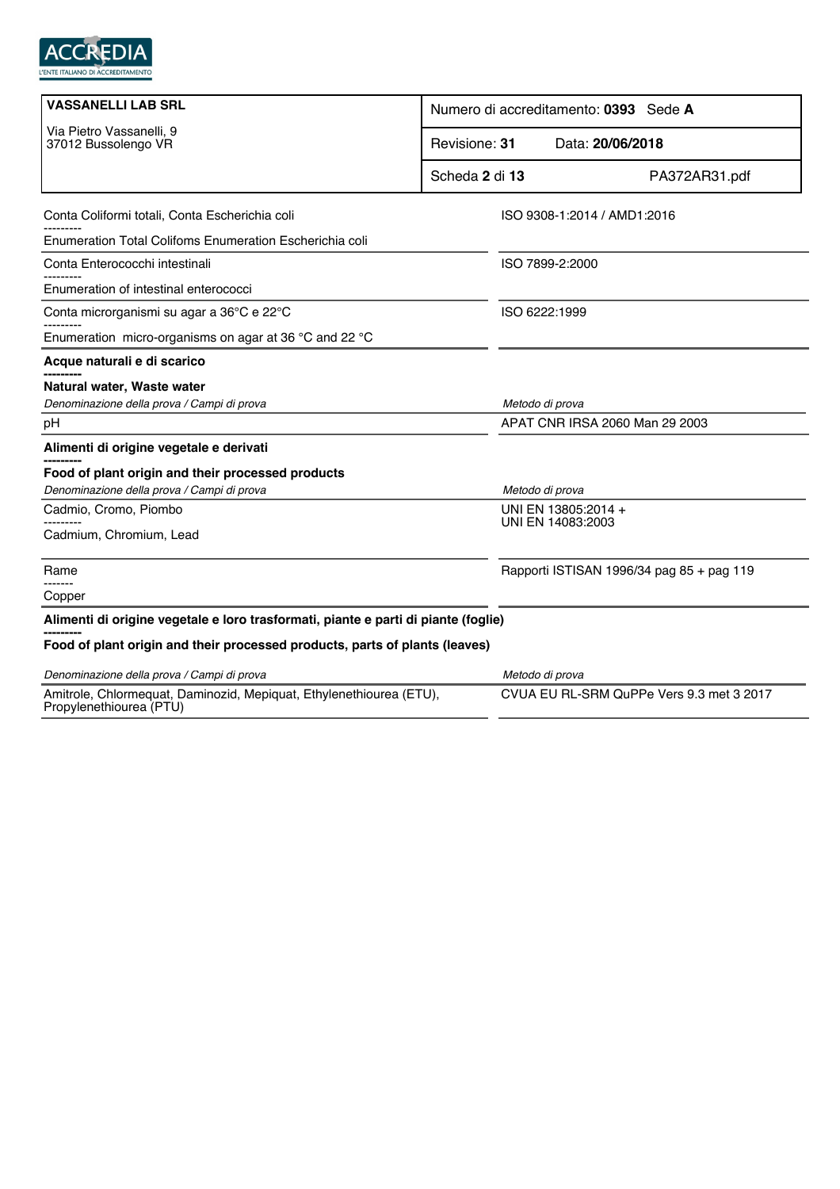

| <b>VASSANELLI LAB SRL</b>                                                                      | Numero di accreditamento: 0393 Sede A    |                                           |  |
|------------------------------------------------------------------------------------------------|------------------------------------------|-------------------------------------------|--|
| Via Pietro Vassanelli, 9<br>37012 Bussolengo VR                                                | Revisione: 31<br>Data: 20/06/2018        |                                           |  |
|                                                                                                | Scheda 2 di 13                           | PA372AR31.pdf                             |  |
| Conta Coliformi totali, Conta Escherichia coli                                                 |                                          | ISO 9308-1:2014 / AMD1:2016               |  |
| Enumeration Total Colifoms Enumeration Escherichia coli                                        |                                          |                                           |  |
| Conta Enterococchi intestinali                                                                 | ISO 7899-2:2000                          |                                           |  |
| Enumeration of intestinal enterococci                                                          |                                          |                                           |  |
| Conta microrganismi su agar a 36°C e 22°C                                                      | ISO 6222:1999                            |                                           |  |
| Enumeration micro-organisms on agar at 36 °C and 22 °C                                         |                                          |                                           |  |
| Acque naturali e di scarico                                                                    |                                          |                                           |  |
| Natural water, Waste water                                                                     |                                          |                                           |  |
| Denominazione della prova / Campi di prova                                                     | Metodo di prova                          |                                           |  |
| pH                                                                                             |                                          | APAT CNR IRSA 2060 Man 29 2003            |  |
| Alimenti di origine vegetale e derivati                                                        |                                          |                                           |  |
| Food of plant origin and their processed products                                              |                                          |                                           |  |
| Denominazione della prova / Campi di prova                                                     | Metodo di prova                          |                                           |  |
| Cadmio, Cromo, Piombo                                                                          | UNI EN 13805:2014 +<br>UNI EN 14083:2003 |                                           |  |
| Cadmium, Chromium, Lead                                                                        |                                          |                                           |  |
| Rame                                                                                           |                                          | Rapporti ISTISAN 1996/34 pag 85 + pag 119 |  |
| Copper                                                                                         |                                          |                                           |  |
| Alimenti di origine vegetale e loro trasformati, piante e parti di piante (foglie)             |                                          |                                           |  |
| Food of plant origin and their processed products, parts of plants (leaves)                    |                                          |                                           |  |
| Denominazione della prova / Campi di prova                                                     | Metodo di prova                          |                                           |  |
| Amitrole, Chlormequat, Daminozid, Mepiquat, Ethylenethiourea (ETU),<br>Propylenethiourea (PTU) |                                          | CVUA EU RL-SRM QuPPe Vers 9.3 met 3 2017  |  |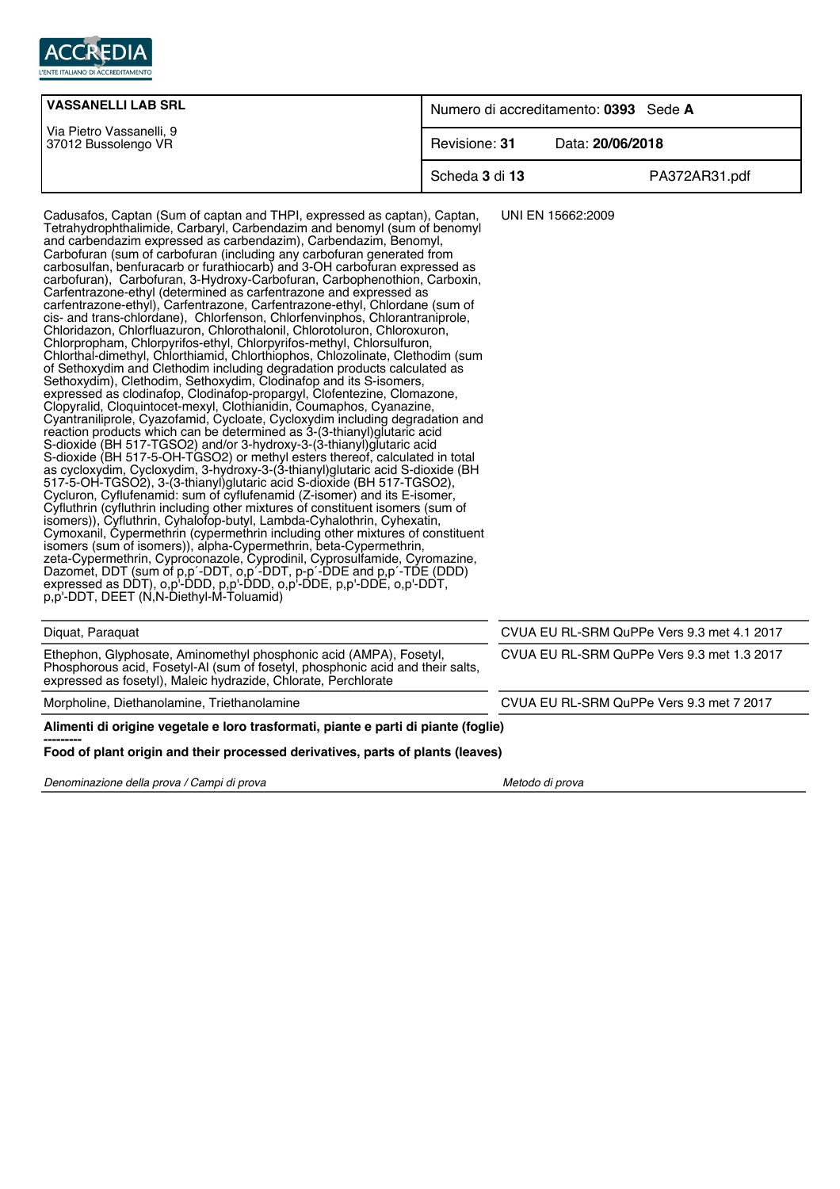

| <b>VASSANELLI LAB SRL</b>                       | Numero di accreditamento: 0393 Sede A |                  |
|-------------------------------------------------|---------------------------------------|------------------|
| Via Pietro Vassanelli, 9<br>37012 Bussolengo VR | Revisione: 31                         | Data: 20/06/2018 |
|                                                 | Scheda 3 di 13                        | PA372AR31.pdf    |

UNI EN 15662:2009

Cadusafos, Captan (Sum of captan and THPI, expressed as captan), Captan,

Tetrahydrophthalimide, Carbaryl, Carbendazim and benomyl (sum of benomyl and carbendazim expressed as carbendazim), Carbendazim, Benomyl, Carbofuran (sum of carbofuran (including any carbofuran generated from carbosulfan, benfuracarb or furathiocarb) and 3-OH carbofuran expressed as carbofuran), Carbofuran, 3-Hydroxy-Carbofuran, Carbophenothion, Carboxin, Carfentrazone-ethyl (determined as carfentrazone and expressed as carfentrazone-ethyl), Carfentrazone, Carfentrazone-ethyl, Chlordane (sum of cis- and trans-chlordane), Chlorfenson, Chlorfenvinphos, Chlorantraniprole, Chloridazon, Chlorfluazuron, Chlorothalonil, Chlorotoluron, Chloroxuron, Chlorpropham, Chlorpyrifos-ethyl, Chlorpyrifos-methyl, Chlorsulfuron, Chlorthal-dimethyl, Chlorthiamid, Chlorthiophos, Chlozolinate, Clethodim (sum of Sethoxydim and Clethodim including degradation products calculated as Sethoxydim), Clethodim, Sethoxydim, Clodinafop and its S-isomers, expressed as clodinafop, Clodinafop-propargyl, Clofentezine, Clomazone, Clopyralid, Cloquintocet-mexyl, Clothianidin, Coumaphos, Cyanazine, Cyantraniliprole, Cyazofamid, Cycloate, Cycloxydim including degradation and reaction products which can be determined as 3-(3-thianyl)glutaric acid S-dioxide (BH 517-TGSO2) and/or 3-hydroxy-3-(3-thianyl)glutaric acid S-dioxide (BH 517-5-OH-TGSO2) or methyl esters thereof, calculated in total as cycloxydim, Cycloxydim, 3-hydroxy-3-(3-thianyl)glutaric acid S-dioxide (BH 517-5-OH-TGSO2), 3-(3-thianyl)glutaric acid S-dioxide (BH 517-TGSO2), Cycluron, Cyflufenamid: sum of cyflufenamid (Z-isomer) and its E-isomer, Cyfluthrin (cyfluthrin including other mixtures of constituent isomers (sum of isomers)), Cyfluthrin, Cyhalofop-butyl, Lambda-Cyhalothrin, Cyhexatin, Cymoxanil, Cypermethrin (cypermethrin including other mixtures of constituent isomers (sum of isomers)), alpha-Cypermethrin, beta-Cypermethrin, zeta-Cypermethrin, Cyproconazole, Cyprodinil, Cyprosulfamide, Cyromazine, Dazomet, DDT (sum of p,p´-DDT, o,p´-DDT, p-p´-DDE and p,p´-TDE (DDD) expressed as DDT), o,p'-DDD, p,p'-DDD, o,p'-DDE, p,p'-DDE, o,p'-DDT, p,p'-DDT, DEET (N,N-Diethyl-M-Toluamid) Diquat, Paraquat CVUA EU RL-SRM QuPPe Vers 9.3 met 4.1 2017 Ethephon, Glyphosate, Aminomethyl phosphonic acid (AMPA), Fosetyl, Phosphorous acid, Fosetyl-Al (sum of fosetyl, phosphonic acid and their salts, expressed as fosetyl), Maleic hydrazide, Chlorate, Perchlorate CVUA EU RL-SRM QuPPe Vers 9.3 met 1.3 2017 Morpholine, Diethanolamine, Triethanolamine CVUA EU RL-SRM QuPPe Vers 9.3 met 7 2017 Denominazione della prova / Campi di prova Metodo di prova Metodo di prova **Alimenti di origine vegetale e loro trasformati, piante e parti di piante (foglie) --------- Food of plant origin and their processed derivatives, parts of plants (leaves)**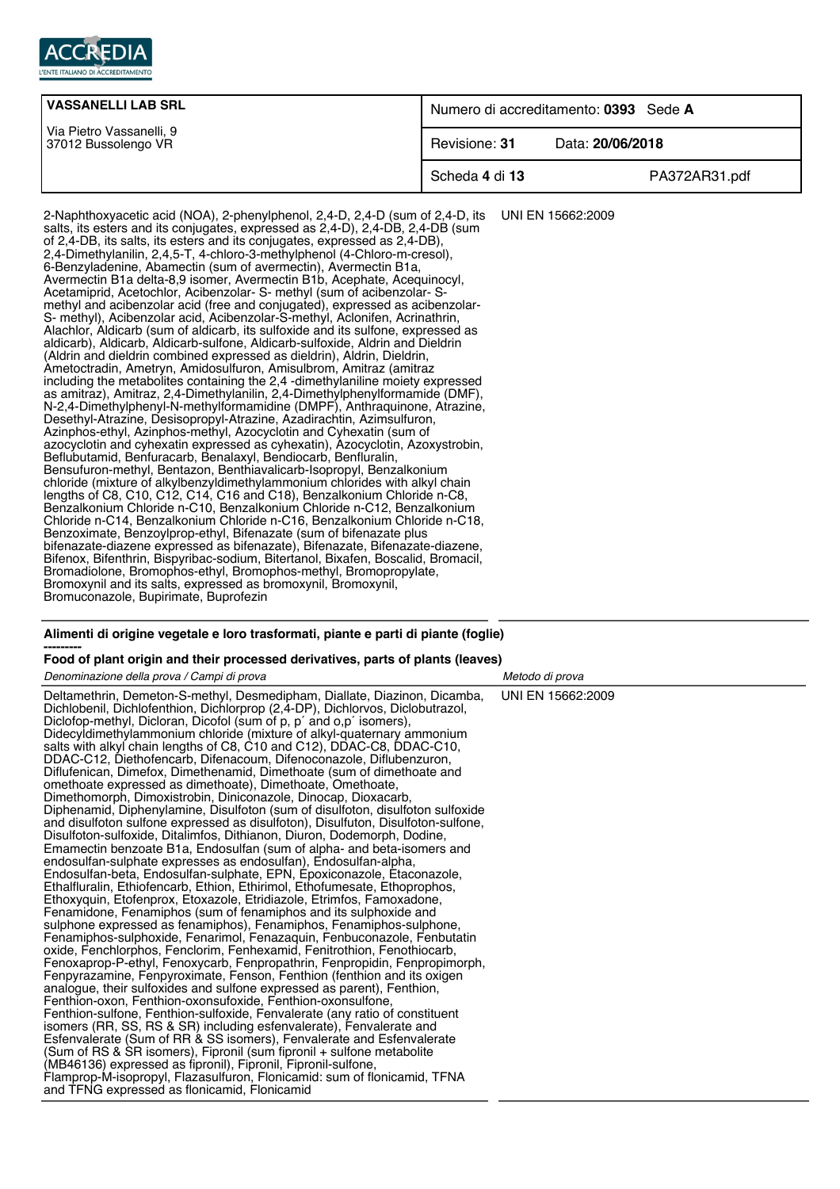

| <b>VASSANELLI LAB SRL</b>                       | Numero di accreditamento: 0393 Sede A |                  |
|-------------------------------------------------|---------------------------------------|------------------|
| Via Pietro Vassanelli, 9<br>37012 Bussolengo VR | Revisione: 31                         | Data: 20/06/2018 |
|                                                 | Scheda 4 di 13                        | PA372AR31.pdf    |

2-Naphthoxyacetic acid (NOA), 2-phenylphenol, 2,4-D, 2,4-D (sum of 2,4-D, its salts, its esters and its conjugates, expressed as 2,4-D), 2,4-DB, 2,4-DB (sum of 2,4-DB, its salts, its esters and its conjugates, expressed as 2,4-DB), 2,4-Dimethylanilin, 2,4,5-T, 4-chloro-3-methylphenol (4-Chloro-m-cresol), 6-Benzyladenine, Abamectin (sum of avermectin), Avermectin B1a, Avermectin B1a delta-8,9 isomer, Avermectin B1b, Acephate, Acequinocyl, Acetamiprid, Acetochlor, Acibenzolar- S- methyl (sum of acibenzolar- Smethyl and acibenzolar acid (free and conjugated), expressed as acibenzolar-S- methyl), Acibenzolar acid, Acibenzolar-S-methyl, Aclonifen, Acrinathrin, Alachlor, Aldicarb (sum of aldicarb, its sulfoxide and its sulfone, expressed as aldicarb), Aldicarb, Aldicarb-sulfone, Aldicarb-sulfoxide, Aldrin and Dieldrin (Aldrin and dieldrin combined expressed as dieldrin), Aldrin, Dieldrin, Ametoctradin, Ametryn, Amidosulfuron, Amisulbrom, Amitraz (amitraz including the metabolites containing the 2,4 -dimethylaniline moiety expressed as amitraz), Amitraz, 2,4-Dimethylanilin, 2,4-Dimethylphenylformamide (DMF), N-2,4-Dimethylphenyl-N-methylformamidine (DMPF), Anthraquinone, Atrazine, Desethyl-Atrazine, Desisopropyl-Atrazine, Azadirachtin, Azimsulfuron, Azinphos-ethyl, Azinphos-methyl, Azocyclotin and Cyhexatin (sum of azocyclotin and cyhexatin expressed as cyhexatin), Azocyclotin, Azoxystrobin, Beflubutamid, Benfuracarb, Benalaxyl, Bendiocarb, Benfluralin, Bensufuron-methyl, Bentazon, Benthiavalicarb-Isopropyl, Benzalkonium chloride (mixture of alkylbenzyldimethylammonium chlorides with alkyl chain lengths of C8, C10, C12, C14, C16 and C18), Benzalkonium Chloride n-C8, Benzalkonium Chloride n-C10, Benzalkonium Chloride n-C12, Benzalkonium Chloride n-C14, Benzalkonium Chloride n-C16, Benzalkonium Chloride n-C18, Benzoximate, Benzoylprop-ethyl, Bifenazate (sum of bifenazate plus bifenazate-diazene expressed as bifenazate), Bifenazate, Bifenazate-diazene, Bifenox, Bifenthrin, Bispyribac-sodium, Bitertanol, Bixafen, Boscalid, Bromacil, Bromadiolone, Bromophos-ethyl, Bromophos-methyl, Bromopropylate, Bromoxynil and its salts, expressed as bromoxynil, Bromoxynil, Bromuconazole, Bupirimate, Buprofezin UNI EN 15662:2009

## **Alimenti di origine vegetale e loro trasformati, piante e parti di piante (foglie) ---------**

## **Food of plant origin and their processed derivatives, parts of plants (leaves)**

Denominazione della prova / Campi di prova Metodo di prova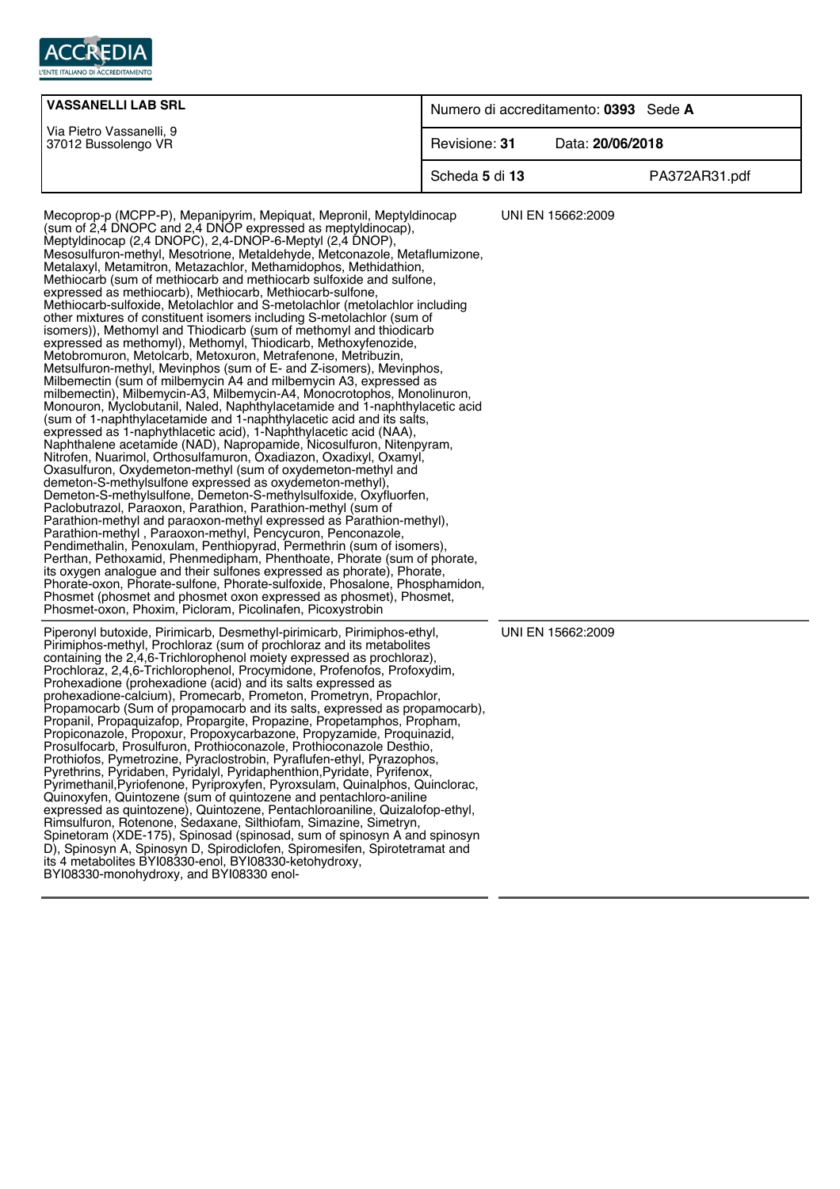

| <b>VASSANELLI LAB SRL</b>                       | Numero di accreditamento: 0393 Sede A |                  |
|-------------------------------------------------|---------------------------------------|------------------|
| Via Pietro Vassanelli, 9<br>37012 Bussolengo VR | Revisione: 31                         | Data: 20/06/2018 |
|                                                 | Scheda 5 di 13                        | PA372AR31.pdf    |

Mecoprop-p (MCPP-P), Mepanipyrim, Mepiquat, Mepronil, Meptyldinocap (sum of 2,4 DNOPC and 2,4 DNOP expressed as meptyldinocap), Meptyldinocap (2,4 DNOPC), 2,4-DNOP-6-Meptyl (2,4 DNOP), Mesosulfuron-methyl, Mesotrione, Metaldehyde, Metconazole, Metaflumizone, Metalaxyl, Metamitron, Metazachlor, Methamidophos, Methidathion, Methiocarb (sum of methiocarb and methiocarb sulfoxide and sulfone, expressed as methiocarb), Methiocarb, Methiocarb-sulfone, Methiocarb-sulfoxide, Metolachlor and S-metolachlor (metolachlor including other mixtures of constituent isomers including S-metolachlor (sum of isomers)), Methomyl and Thiodicarb (sum of methomyl and thiodicarb expressed as methomyl), Methomyl, Thiodicarb, Methoxyfenozide, Metobromuron, Metolcarb, Metoxuron, Metrafenone, Metribuzin, Metsulfuron-methyl, Mevinphos (sum of E- and Z-isomers), Mevinphos, Milbemectin (sum of milbemycin A4 and milbemycin A3, expressed as milbemectin), Milbemycin-A3, Milbemycin-A4, Monocrotophos, Monolinuron, Monouron, Myclobutanil, Naled, Naphthylacetamide and 1-naphthylacetic acid (sum of 1-naphthylacetamide and 1-naphthylacetic acid and its salts, expressed as 1-naphythlacetic acid), 1-Naphthylacetic acid (NAA), Naphthalene acetamide (NAD), Napropamide, Nicosulfuron, Nitenpyram, Nitrofen, Nuarimol, Orthosulfamuron, Oxadiazon, Oxadixyl, Oxamyl, Oxasulfuron, Oxydemeton-methyl (sum of oxydemeton-methyl and demeton-S-methylsulfone expressed as oxydemeton-methyl), Demeton-S-methylsulfone, Demeton-S-methylsulfoxide, Oxyfluorfen, Paclobutrazol, Paraoxon, Parathion, Parathion-methyl (sum of Parathion-methyl and paraoxon-methyl expressed as Parathion-methyl), Parathion-methyl , Paraoxon-methyl, Pencycuron, Penconazole, Pendimethalin, Penoxulam, Penthiopyrad, Permethrin (sum of isomers), Perthan, Pethoxamid, Phenmedipham, Phenthoate, Phorate (sum of phorate, its oxygen analogue and their sulfones expressed as phorate), Phorate, Phorate-oxon, Phorate-sulfone, Phorate-sulfoxide, Phosalone, Phosphamidon, Phosmet (phosmet and phosmet oxon expressed as phosmet), Phosmet, Phosmet-oxon, Phoxim, Picloram, Picolinafen, Picoxystrobin UNI EN 15662:2009 Piperonyl butoxide, Pirimicarb, Desmethyl-pirimicarb, Pirimiphos-ethyl, Pirimiphos-methyl, Prochloraz (sum of prochloraz and its metabolites containing the 2,4,6-Trichlorophenol moiety expressed as prochloraz), Prochloraz, 2,4,6-Trichlorophenol, Procymidone, Profenofos, Profoxydim,

Prohexadione (prohexadione (acid) and its salts expressed as prohexadione-calcium), Promecarb, Prometon, Prometryn, Propachlor, Propamocarb (Sum of propamocarb and its salts, expressed as propamocarb), Propanil, Propaquizafop, Propargite, Propazine, Propetamphos, Propham, Propiconazole, Propoxur, Propoxycarbazone, Propyzamide, Proquinazid, Prosulfocarb, Prosulfuron, Prothioconazole, Prothioconazole Desthio, Prothiofos, Pymetrozine, Pyraclostrobin, Pyraflufen-ethyl, Pyrazophos, Pyrethrins, Pyridaben, Pyridalyl, Pyridaphenthion,Pyridate, Pyrifenox, Pyrimethanil,Pyriofenone, Pyriproxyfen, Pyroxsulam, Quinalphos, Quinclorac, Quinoxyfen, Quintozene (sum of quintozene and pentachloro-aniline expressed as quintozene), Quintozene, Pentachloroaniline, Quizalofop-ethyl, Rimsulfuron, Rotenone, Sedaxane, Silthiofam, Simazine, Simetryn, Spinetoram (XDE-175), Spinosad (spinosad, sum of spinosyn A and spinosyn D), Spinosyn A, Spinosyn D, Spirodiclofen, Spiromesifen, Spirotetramat and its 4 metabolites BYI08330-enol, BYI08330-ketohydroxy, BYI08330-monohydroxy, and BYI08330 enolUNI EN 15662:2009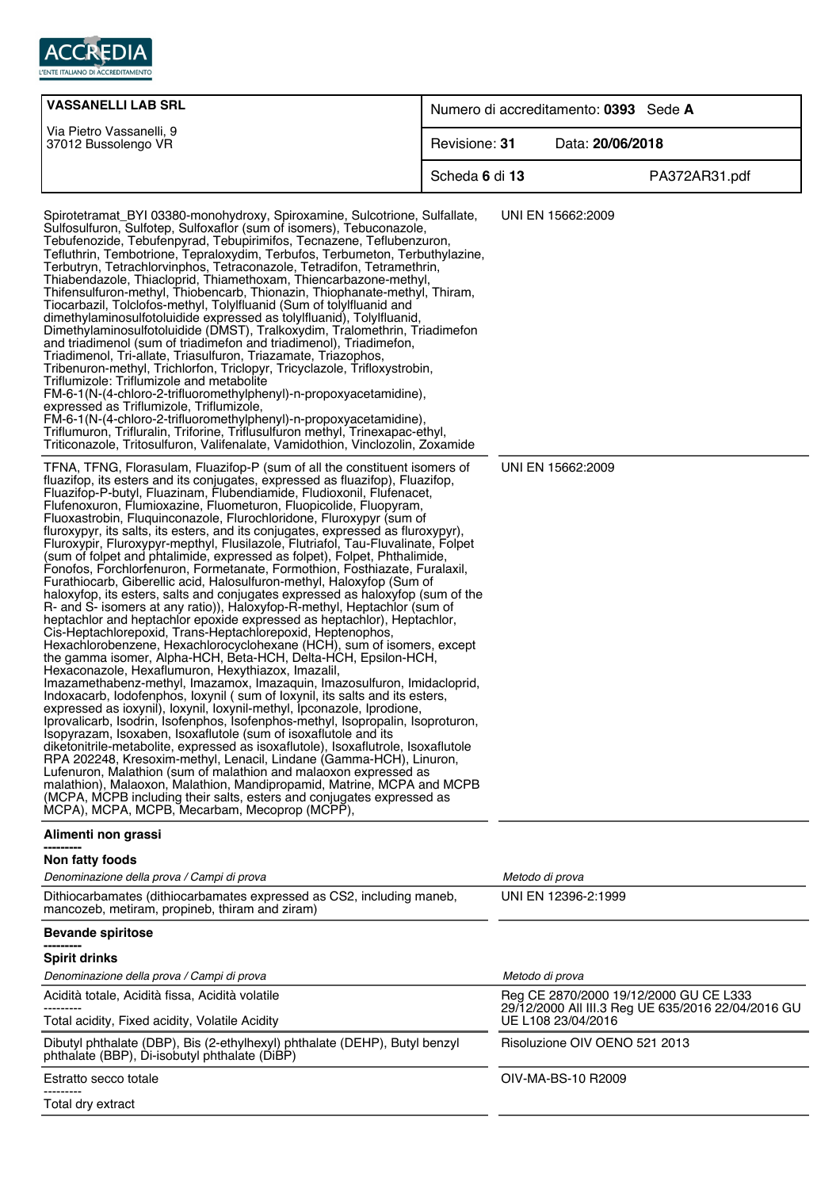

| <b>VASSANELLI LAB SRL</b>                                                                                                                                                                                                                                                                                                                                                                                                                                                                                                                                                                                                                                                                                                                                                                                                                                                                                                                                                                                                                                                                                                                                                                                                                                                                                                                                                                                                                                                                                                                                                                                                                                                                                                                                                                                                                                                                                                                                                                                                                                                                                                            | Numero di accreditamento: 0393 Sede A |                               |                                                    |
|--------------------------------------------------------------------------------------------------------------------------------------------------------------------------------------------------------------------------------------------------------------------------------------------------------------------------------------------------------------------------------------------------------------------------------------------------------------------------------------------------------------------------------------------------------------------------------------------------------------------------------------------------------------------------------------------------------------------------------------------------------------------------------------------------------------------------------------------------------------------------------------------------------------------------------------------------------------------------------------------------------------------------------------------------------------------------------------------------------------------------------------------------------------------------------------------------------------------------------------------------------------------------------------------------------------------------------------------------------------------------------------------------------------------------------------------------------------------------------------------------------------------------------------------------------------------------------------------------------------------------------------------------------------------------------------------------------------------------------------------------------------------------------------------------------------------------------------------------------------------------------------------------------------------------------------------------------------------------------------------------------------------------------------------------------------------------------------------------------------------------------------|---------------------------------------|-------------------------------|----------------------------------------------------|
| Via Pietro Vassanelli, 9<br>37012 Bussolengo VR                                                                                                                                                                                                                                                                                                                                                                                                                                                                                                                                                                                                                                                                                                                                                                                                                                                                                                                                                                                                                                                                                                                                                                                                                                                                                                                                                                                                                                                                                                                                                                                                                                                                                                                                                                                                                                                                                                                                                                                                                                                                                      | Revisione: 31                         | Data: 20/06/2018              |                                                    |
|                                                                                                                                                                                                                                                                                                                                                                                                                                                                                                                                                                                                                                                                                                                                                                                                                                                                                                                                                                                                                                                                                                                                                                                                                                                                                                                                                                                                                                                                                                                                                                                                                                                                                                                                                                                                                                                                                                                                                                                                                                                                                                                                      | Scheda 6 di 13                        |                               | PA372AR31.pdf                                      |
| Spirotetramat_BYI 03380-monohydroxy, Spiroxamine, Sulcotrione, Sulfallate,<br>Sulfosulfuron, Sulfotep, Sulfoxaflor (sum of isomers), Tebuconazole,<br>Tebufenozide, Tebufenpyrad, Tebupirimifos, Tecnazene, Teflubenzuron,<br>Tefluthrin, Tembotrione, Tepraloxydim, Terbufos, Terbumeton, Terbuthylazine,<br>Terbutryn, Tetrachlorvinphos, Tetraconazole, Tetradifon, Tetramethrin,<br>Thiabendazole, Thiacloprid, Thiamethoxam, Thiencarbazone-methyl,<br>Thifensulfuron-methyl, Thiobencarb, Thionazin, Thiophanate-methyl, Thiram,<br>Tiocarbazil, Tolclofos-methyl, Tolylfluanid (Sum of tolylfluanid and<br>dimethylaminosulfotoluidide expressed as tolylfluanid), Tolylfluanid,<br>Dimethylaminosulfotoluidide (DMST), Tralkoxydim, Tralomethrin, Triadimefon<br>and triadimenol (sum of triadimefon and triadimenol), Triadimefon,<br>Triadimenol, Tri-allate, Triasulfuron, Triazamate, Triazophos,<br>Tribenuron-methyl, Trichlorfon, Triclopyr, Tricyclazole, Trifloxystrobin,<br>Triflumizole: Triflumizole and metabolite<br>FM-6-1(N-(4-chloro-2-trifluoromethylphenyl)-n-propoxyacetamidine),<br>expressed as Triflumizole, Triflumizole,<br>FM-6-1(N-(4-chloro-2-trifluoromethylphenyl)-n-propoxyacetamidine),<br>Triflumuron, Trifluralin, Triforine, Triflusulfuron methyl, Trinexapac-ethyl,<br>Triticonazole, Tritosulfuron, Valifenalate, Vamidothion, Vinclozolin, Zoxamide                                                                                                                                                                                                                                                                                                                                                                                                                                                                                                                                                                                                                                                                                                                                   |                                       | UNI EN 15662:2009             |                                                    |
| TFNA, TFNG, Florasulam, Fluazifop-P (sum of all the constituent isomers of<br>fluazifop, its esters and its conjugates, expressed as fluazifop), Fluazifop,<br>Fluazifop-P-butyl, Fluazinam, Flubendiamide, Fludioxonil, Flufenacet,<br>Flufenoxuron, Flumioxazine, Fluometuron, Fluopicolide, Fluopyram,<br>Fluoxastrobin, Fluquinconazole, Flurochloridone, Fluroxypyr (sum of<br>fluroxypyr, its salts, its esters, and its conjugates, expressed as fluroxypyr),<br>Fluroxypir, Fluroxypyr-mepthyl, Flusilazole, Flutriafol, Tau-Fluvalinate, Folpet<br>(sum of folpet and phtalimide, expressed as folpet), Folpet, Phthalimide,<br>Fonofos, Forchlorfenuron, Formetanate, Formothion, Fosthiazate, Furalaxil,<br>Furathiocarb, Giberellic acid, Halosulfuron-methyl, Haloxyfop (Sum of<br>haloxyfop, its esters, salts and conjugates expressed as haloxyfop (sum of the<br>R- and S- isomers at any ratio)), Haloxyfop-R-methyl, Heptachlor (sum of<br>heptachlor and heptachlor epoxide expressed as heptachlor), Heptachlor,<br>Cis-Heptachlorepoxid, Trans-Heptachlorepoxid, Heptenophos,<br>Hexachlorobenzene, Hexachlorocyclohexane (HCH), sum of isomers, except<br>the gamma isomer, Alpha-HCH, Beta-HCH, Delta-HCH, Epsilon-HCH,<br>Hexaconazole, Hexaflumuron, Hexythiazox, Imazalil,<br>Imazamethabenz-methyl, Imazamox, Imazaquin, Imazosulfuron, Imidacloprid,<br>Indoxacarb, Iodofenphos, Ioxynil (sum of Ioxynil, its salts and its esters,<br>expressed as ioxynil), loxynil, loxynil-methyl, lpconazole, lprodione,<br>Iprovalicarb, Isodrin, Isofenphos, Isofenphos-methyl, Isopropalin, Isoproturon,<br>Isopyrazam, Isoxaben, Isoxaflutole (sum of isoxaflutole and its<br>diketonitrile-metabolite, expressed as isoxaflutole), Isoxaflutrole, Isoxaflutole<br>RPA 202248, Kresoxim-methyl, Lenacil, Lindane (Gamma-HCH), Linuron,<br>Lufenuron, Malathion (sum of malathion and malaoxon expressed as<br>malathion), Malaoxon, Malathion, Mandipropamid, Matrine, MCPA and MCPB<br>(MCPA, MCPB including their salts, esters and conjugates expressed as<br>MCPA), MCPA, MCPB, Mecarbam, Mecoprop (MCPP), |                                       | UNI EN 15662:2009             |                                                    |
| Alimenti non grassi                                                                                                                                                                                                                                                                                                                                                                                                                                                                                                                                                                                                                                                                                                                                                                                                                                                                                                                                                                                                                                                                                                                                                                                                                                                                                                                                                                                                                                                                                                                                                                                                                                                                                                                                                                                                                                                                                                                                                                                                                                                                                                                  |                                       |                               |                                                    |
| Non fatty foods<br>Denominazione della prova / Campi di prova                                                                                                                                                                                                                                                                                                                                                                                                                                                                                                                                                                                                                                                                                                                                                                                                                                                                                                                                                                                                                                                                                                                                                                                                                                                                                                                                                                                                                                                                                                                                                                                                                                                                                                                                                                                                                                                                                                                                                                                                                                                                        |                                       | Metodo di prova               |                                                    |
| Dithiocarbamates (dithiocarbamates expressed as CS2, including maneb,<br>mancozeb, metiram, propineb, thiram and ziram)                                                                                                                                                                                                                                                                                                                                                                                                                                                                                                                                                                                                                                                                                                                                                                                                                                                                                                                                                                                                                                                                                                                                                                                                                                                                                                                                                                                                                                                                                                                                                                                                                                                                                                                                                                                                                                                                                                                                                                                                              |                                       | UNI EN 12396-2:1999           |                                                    |
| <b>Bevande spiritose</b>                                                                                                                                                                                                                                                                                                                                                                                                                                                                                                                                                                                                                                                                                                                                                                                                                                                                                                                                                                                                                                                                                                                                                                                                                                                                                                                                                                                                                                                                                                                                                                                                                                                                                                                                                                                                                                                                                                                                                                                                                                                                                                             |                                       |                               |                                                    |
| <b>Spirit drinks</b>                                                                                                                                                                                                                                                                                                                                                                                                                                                                                                                                                                                                                                                                                                                                                                                                                                                                                                                                                                                                                                                                                                                                                                                                                                                                                                                                                                                                                                                                                                                                                                                                                                                                                                                                                                                                                                                                                                                                                                                                                                                                                                                 |                                       |                               |                                                    |
| Denominazione della prova / Campi di prova                                                                                                                                                                                                                                                                                                                                                                                                                                                                                                                                                                                                                                                                                                                                                                                                                                                                                                                                                                                                                                                                                                                                                                                                                                                                                                                                                                                                                                                                                                                                                                                                                                                                                                                                                                                                                                                                                                                                                                                                                                                                                           |                                       | Metodo di prova               |                                                    |
| Acidità totale, Acidità fissa, Acidità volatile                                                                                                                                                                                                                                                                                                                                                                                                                                                                                                                                                                                                                                                                                                                                                                                                                                                                                                                                                                                                                                                                                                                                                                                                                                                                                                                                                                                                                                                                                                                                                                                                                                                                                                                                                                                                                                                                                                                                                                                                                                                                                      |                                       |                               | Reg CE 2870/2000 19/12/2000 GU CE L333             |
| Total acidity, Fixed acidity, Volatile Acidity                                                                                                                                                                                                                                                                                                                                                                                                                                                                                                                                                                                                                                                                                                                                                                                                                                                                                                                                                                                                                                                                                                                                                                                                                                                                                                                                                                                                                                                                                                                                                                                                                                                                                                                                                                                                                                                                                                                                                                                                                                                                                       |                                       | UE L108 23/04/2016            | 29/12/2000 All III.3 Reg UE 635/2016 22/04/2016 GU |
| Dibutyl phthalate (DBP), Bis (2-ethylhexyl) phthalate (DEHP), Butyl benzyl<br>phthalate (BBP), Di-isobutyl phthalate (DiBP)                                                                                                                                                                                                                                                                                                                                                                                                                                                                                                                                                                                                                                                                                                                                                                                                                                                                                                                                                                                                                                                                                                                                                                                                                                                                                                                                                                                                                                                                                                                                                                                                                                                                                                                                                                                                                                                                                                                                                                                                          |                                       | Risoluzione OIV OENO 521 2013 |                                                    |
| Estratto secco totale                                                                                                                                                                                                                                                                                                                                                                                                                                                                                                                                                                                                                                                                                                                                                                                                                                                                                                                                                                                                                                                                                                                                                                                                                                                                                                                                                                                                                                                                                                                                                                                                                                                                                                                                                                                                                                                                                                                                                                                                                                                                                                                |                                       | OIV-MA-BS-10 R2009            |                                                    |

--------- Total dry extract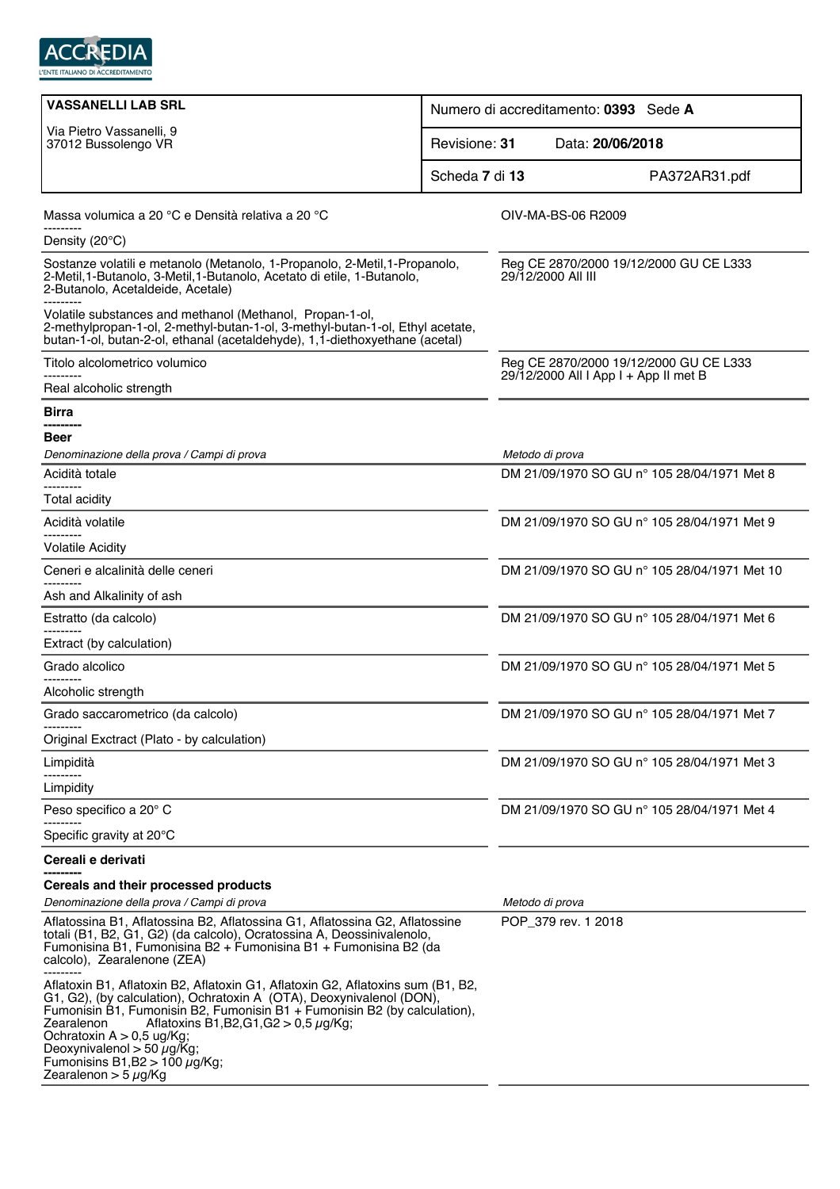

| <b>VASSANELLI LAB SRL</b>                                                                                                                                                                                                                                                                                                                                                                                                                  | Numero di accreditamento: 0393 Sede A                        |  |  |
|--------------------------------------------------------------------------------------------------------------------------------------------------------------------------------------------------------------------------------------------------------------------------------------------------------------------------------------------------------------------------------------------------------------------------------------------|--------------------------------------------------------------|--|--|
| Via Pietro Vassanelli, 9<br>37012 Bussolengo VR                                                                                                                                                                                                                                                                                                                                                                                            | Data: 20/06/2018<br>Revisione: 31                            |  |  |
|                                                                                                                                                                                                                                                                                                                                                                                                                                            | Scheda 7 di 13<br>PA372AR31.pdf                              |  |  |
| Massa volumica a 20 °C e Densità relativa a 20 °C                                                                                                                                                                                                                                                                                                                                                                                          | OIV-MA-BS-06 R2009                                           |  |  |
| Density $(20^{\circ}C)$                                                                                                                                                                                                                                                                                                                                                                                                                    |                                                              |  |  |
| Sostanze volatili e metanolo (Metanolo, 1-Propanolo, 2-Metil, 1-Propanolo,<br>2-Metil, 1-Butanolo, 3-Metil, 1-Butanolo, Acetato di etile, 1-Butanolo,<br>2-Butanolo, Acetaldeide, Acetale)                                                                                                                                                                                                                                                 | Reg CE 2870/2000 19/12/2000 GU CE L333<br>29/12/2000 All III |  |  |
| Volatile substances and methanol (Methanol, Propan-1-ol,<br>2-methylpropan-1-ol, 2-methyl-butan-1-ol, 3-methyl-butan-1-ol, Ethyl acetate,<br>butan-1-ol, butan-2-ol, ethanal (acetaldehyde), 1,1-diethoxyethane (acetal)                                                                                                                                                                                                                   |                                                              |  |  |
| Titolo alcolometrico volumico                                                                                                                                                                                                                                                                                                                                                                                                              | Reg CE 2870/2000 19/12/2000 GU CE L333                       |  |  |
| Real alcoholic strength                                                                                                                                                                                                                                                                                                                                                                                                                    | 29/12/2000 All I App I + App II met B                        |  |  |
| Birra                                                                                                                                                                                                                                                                                                                                                                                                                                      |                                                              |  |  |
| ----------<br>Beer                                                                                                                                                                                                                                                                                                                                                                                                                         |                                                              |  |  |
| Denominazione della prova / Campi di prova                                                                                                                                                                                                                                                                                                                                                                                                 | Metodo di prova                                              |  |  |
| Acidità totale                                                                                                                                                                                                                                                                                                                                                                                                                             | DM 21/09/1970 SO GU nº 105 28/04/1971 Met 8                  |  |  |
| <b>Total acidity</b>                                                                                                                                                                                                                                                                                                                                                                                                                       |                                                              |  |  |
| Acidità volatile                                                                                                                                                                                                                                                                                                                                                                                                                           | DM 21/09/1970 SO GU nº 105 28/04/1971 Met 9                  |  |  |
| ---------<br><b>Volatile Acidity</b>                                                                                                                                                                                                                                                                                                                                                                                                       |                                                              |  |  |
| Ceneri e alcalinità delle ceneri                                                                                                                                                                                                                                                                                                                                                                                                           | DM 21/09/1970 SO GU n° 105 28/04/1971 Met 10                 |  |  |
| Ash and Alkalinity of ash                                                                                                                                                                                                                                                                                                                                                                                                                  |                                                              |  |  |
| Estratto (da calcolo)                                                                                                                                                                                                                                                                                                                                                                                                                      | DM 21/09/1970 SO GU n° 105 28/04/1971 Met 6                  |  |  |
| Extract (by calculation)                                                                                                                                                                                                                                                                                                                                                                                                                   |                                                              |  |  |
| Grado alcolico                                                                                                                                                                                                                                                                                                                                                                                                                             | DM 21/09/1970 SO GU nº 105 28/04/1971 Met 5                  |  |  |
| Alcoholic strength                                                                                                                                                                                                                                                                                                                                                                                                                         |                                                              |  |  |
| Grado saccarometrico (da calcolo)                                                                                                                                                                                                                                                                                                                                                                                                          | DM 21/09/1970 SO GU n° 105 28/04/1971 Met 7                  |  |  |
| Original Exctract (Plato - by calculation)                                                                                                                                                                                                                                                                                                                                                                                                 |                                                              |  |  |
| Limpidità                                                                                                                                                                                                                                                                                                                                                                                                                                  | DM 21/09/1970 SO GU nº 105 28/04/1971 Met 3                  |  |  |
| Limpidity                                                                                                                                                                                                                                                                                                                                                                                                                                  |                                                              |  |  |
| Peso specifico a 20° C                                                                                                                                                                                                                                                                                                                                                                                                                     | DM 21/09/1970 SO GU nº 105 28/04/1971 Met 4                  |  |  |
| Specific gravity at 20°C                                                                                                                                                                                                                                                                                                                                                                                                                   |                                                              |  |  |
| Cereali e derivati                                                                                                                                                                                                                                                                                                                                                                                                                         |                                                              |  |  |
| Cereals and their processed products                                                                                                                                                                                                                                                                                                                                                                                                       |                                                              |  |  |
| Denominazione della prova / Campi di prova                                                                                                                                                                                                                                                                                                                                                                                                 | Metodo di prova                                              |  |  |
| Aflatossina B1, Aflatossina B2, Aflatossina G1, Aflatossina G2, Aflatossine<br>totali (B1, B2, G1, G2) (da calcolo), Ocratossina A, Deossinivalenolo,<br>Fumonisina B1, Fumonisina B2 + Fumonisina B1 + Fumonisina B2 (da<br>calcolo), Zearalenone (ZEA)                                                                                                                                                                                   | POP_379 rev. 1 2018                                          |  |  |
| Aflatoxin B1, Aflatoxin B2, Aflatoxin G1, Aflatoxin G2, Aflatoxins sum (B1, B2,<br>G1, G2), (by calculation), Ochratoxin A (OTA), Deoxynivalenol (DON),<br>Fumonisin B1, Fumonisin B2, Fumonisin B1 + Fumonisin B2 (by calculation),<br>Zearalenon<br>Aflatoxins B1, B2, G1, G2 $>$ 0, 5 $\mu$ g/Kg;<br>Ochratoxin $A > 0.5$ ug/Kg;<br>Deoxynivalenol > 50 $\mu$ g/Kg;<br>Fumonisins B1, B2 > 100 $\mu$ g/Kg;<br>Zearalenon > 5 $\mu$ g/Kg |                                                              |  |  |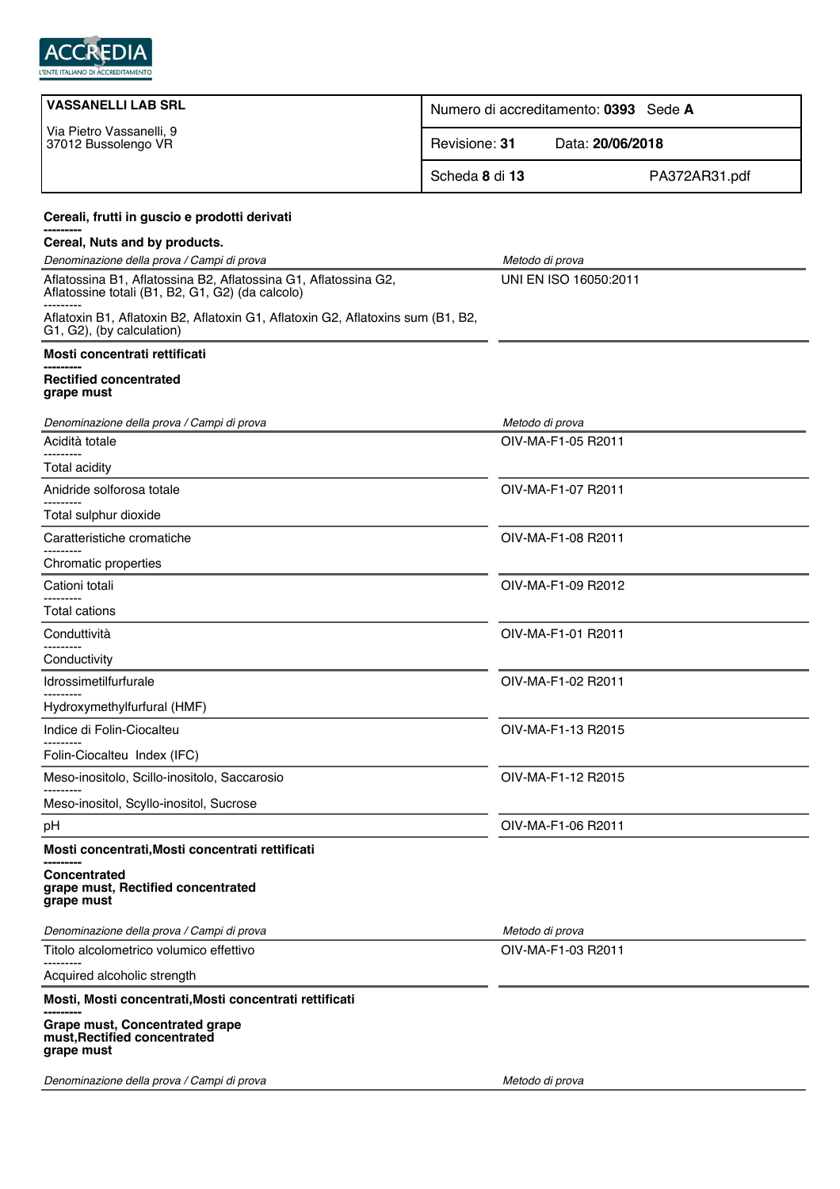

| <b>VASSANELLI LAB SRL</b>                                                                                           | Numero di accreditamento: 0393 Sede A |  |  |
|---------------------------------------------------------------------------------------------------------------------|---------------------------------------|--|--|
| Via Pietro Vassanelli, 9<br>37012 Bussolengo VR                                                                     | Data: 20/06/2018<br>Revisione: 31     |  |  |
|                                                                                                                     | Scheda 8 di 13<br>PA372AR31.pdf       |  |  |
| Cereali, frutti in guscio e prodotti derivati                                                                       |                                       |  |  |
| Cereal, Nuts and by products.                                                                                       |                                       |  |  |
| Denominazione della prova / Campi di prova                                                                          | Metodo di prova                       |  |  |
| Aflatossina B1, Aflatossina B2, Aflatossina G1, Aflatossina G2,<br>Aflatossine totali (B1, B2, G1, G2) (da calcolo) | UNI EN ISO 16050:2011                 |  |  |
| Aflatoxin B1, Aflatoxin B2, Aflatoxin G1, Aflatoxin G2, Aflatoxins sum (B1, B2,<br>G1, G2), (by calculation)        |                                       |  |  |
| Mosti concentrati rettificati                                                                                       |                                       |  |  |
| <b>Rectified concentrated</b><br>grape must                                                                         |                                       |  |  |
| Denominazione della prova / Campi di prova                                                                          | Metodo di prova                       |  |  |
| Acidità totale<br>---------                                                                                         | OIV-MA-F1-05 R2011                    |  |  |
| <b>Total acidity</b>                                                                                                |                                       |  |  |
| Anidride solforosa totale                                                                                           | OIV-MA-F1-07 R2011                    |  |  |
| Total sulphur dioxide                                                                                               |                                       |  |  |
| Caratteristiche cromatiche                                                                                          | OIV-MA-F1-08 R2011                    |  |  |
| Chromatic properties                                                                                                |                                       |  |  |
| Cationi totali                                                                                                      | OIV-MA-F1-09 R2012                    |  |  |
| <b>Total cations</b>                                                                                                |                                       |  |  |
| Conduttività                                                                                                        | OIV-MA-F1-01 R2011                    |  |  |
| Conductivity                                                                                                        |                                       |  |  |
| Idrossimetilfurfurale                                                                                               | OIV-MA-F1-02 R2011                    |  |  |
| Hydroxymethylfurfural (HMF)                                                                                         |                                       |  |  |
| Indice di Folin-Ciocalteu                                                                                           | OIV-MA-F1-13 R2015                    |  |  |
| Folin-Ciocalteu Index (IFC)                                                                                         |                                       |  |  |
| Meso-inositolo, Scillo-inositolo, Saccarosio                                                                        | OIV-MA-F1-12 R2015                    |  |  |
| Meso-inositol, Scyllo-inositol, Sucrose                                                                             |                                       |  |  |
| pH                                                                                                                  | OIV-MA-F1-06 R2011                    |  |  |
| Mosti concentrati, Mosti concentrati rettificati                                                                    |                                       |  |  |
| <b>Concentrated</b><br>grape must, Rectified concentrated<br>grape must                                             |                                       |  |  |
| Denominazione della prova / Campi di prova                                                                          | Metodo di prova                       |  |  |
| Titolo alcolometrico volumico effettivo                                                                             | OIV-MA-F1-03 R2011                    |  |  |
| Acquired alcoholic strength                                                                                         |                                       |  |  |
| Mosti, Mosti concentrati, Mosti concentrati rettificati                                                             |                                       |  |  |
| Grape must, Concentrated grape<br>must, Rectified concentrated<br>grape must                                        |                                       |  |  |
| Denominazione della prova / Campi di prova                                                                          | Metodo di prova                       |  |  |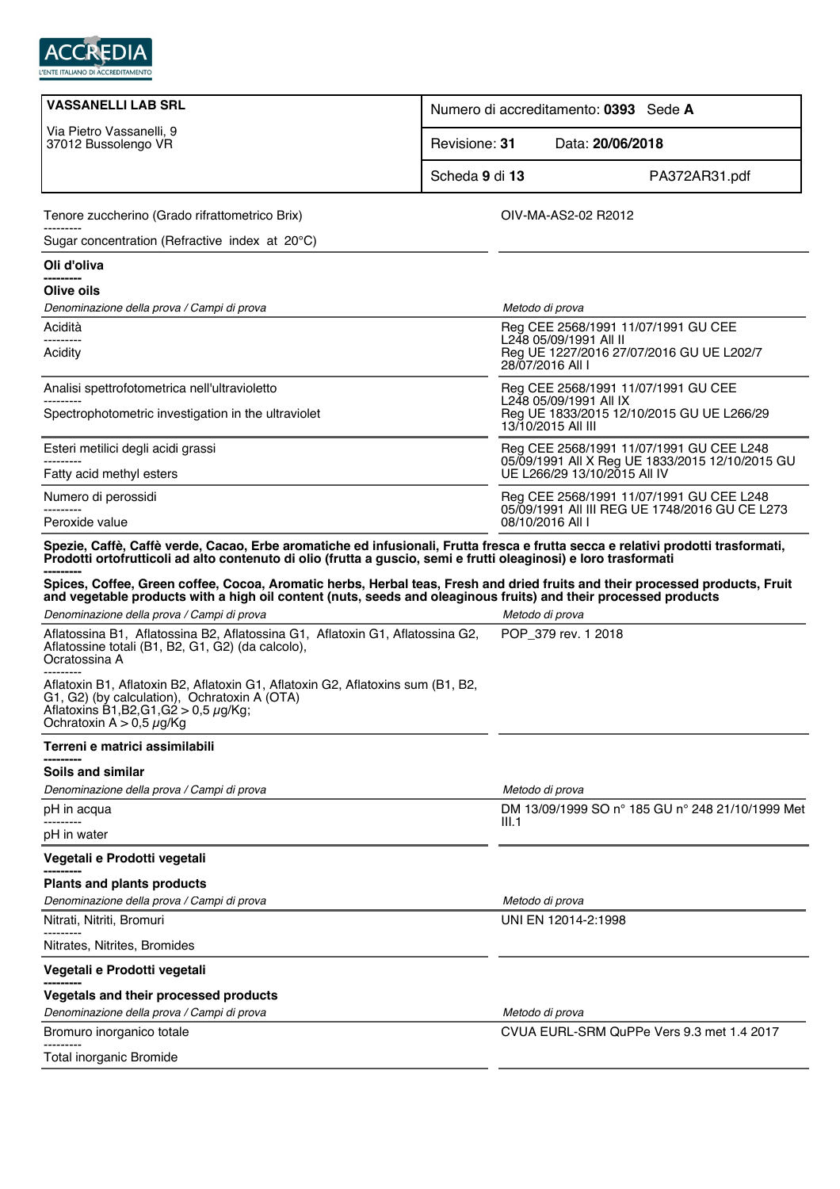

| <b>VASSANELLI LAB SRL</b>                                                                                                                                                                                                                                                                                                                                                                                                                                                                               | Numero di accreditamento: 0393 Sede A |                                                                                        |
|---------------------------------------------------------------------------------------------------------------------------------------------------------------------------------------------------------------------------------------------------------------------------------------------------------------------------------------------------------------------------------------------------------------------------------------------------------------------------------------------------------|---------------------------------------|----------------------------------------------------------------------------------------|
| Via Pietro Vassanelli, 9<br>37012 Bussolengo VR                                                                                                                                                                                                                                                                                                                                                                                                                                                         | Revisione: 31                         | Data: 20/06/2018                                                                       |
|                                                                                                                                                                                                                                                                                                                                                                                                                                                                                                         | Scheda 9 di 13                        | PA372AR31.pdf                                                                          |
| Tenore zuccherino (Grado rifrattometrico Brix)                                                                                                                                                                                                                                                                                                                                                                                                                                                          |                                       | OIV-MA-AS2-02 R2012                                                                    |
| Sugar concentration (Refractive index at 20°C)                                                                                                                                                                                                                                                                                                                                                                                                                                                          |                                       |                                                                                        |
| Oli d'oliva                                                                                                                                                                                                                                                                                                                                                                                                                                                                                             |                                       |                                                                                        |
| ----------<br>Olive oils                                                                                                                                                                                                                                                                                                                                                                                                                                                                                |                                       |                                                                                        |
| Denominazione della prova / Campi di prova                                                                                                                                                                                                                                                                                                                                                                                                                                                              |                                       | Metodo di prova                                                                        |
| Acidità                                                                                                                                                                                                                                                                                                                                                                                                                                                                                                 |                                       | Reg CEE 2568/1991 11/07/1991 GU CEE                                                    |
| ---------<br>Acidity                                                                                                                                                                                                                                                                                                                                                                                                                                                                                    |                                       | L248 05/09/1991 All II<br>Reg UE 1227/2016 27/07/2016 GU UE L202/7<br>28/07/2016 All I |
| Analisi spettrofotometrica nell'ultravioletto                                                                                                                                                                                                                                                                                                                                                                                                                                                           |                                       | Reg CEE 2568/1991 11/07/1991 GU CEE<br>L248 05/09/1991 All IX                          |
| Spectrophotometric investigation in the ultraviolet                                                                                                                                                                                                                                                                                                                                                                                                                                                     |                                       | Reg UE 1833/2015 12/10/2015 GU UE L266/29<br>13/10/2015 All III                        |
| Esteri metilici degli acidi grassi                                                                                                                                                                                                                                                                                                                                                                                                                                                                      |                                       | Reg CEE 2568/1991 11/07/1991 GU CEE L248                                               |
| Fatty acid methyl esters                                                                                                                                                                                                                                                                                                                                                                                                                                                                                |                                       | 05/09/1991 All X Reg UE 1833/2015 12/10/2015 GU<br>UE L266/29 13/10/2015 All IV        |
| Numero di perossidi                                                                                                                                                                                                                                                                                                                                                                                                                                                                                     |                                       | Reg CEE 2568/1991 11/07/1991 GU CEE L248                                               |
| Peroxide value                                                                                                                                                                                                                                                                                                                                                                                                                                                                                          |                                       | 05/09/1991 All III REG UE 1748/2016 GU CE L273<br>08/10/2016 All I                     |
| Spezie, Caffè, Caffè verde, Cacao, Erbe aromatiche ed infusionali, Frutta fresca e frutta secca e relativi prodotti trasformati,<br>Prodotti ortofrutticoli ad alto contenuto di olio (frutta a guscio, semi e frutti oleaginosi) e loro trasformati<br>Spices, Coffee, Green coffee, Cocoa, Aromatic herbs, Herbal teas, Fresh and dried fruits and their processed products, Fruit<br>and vegetable products with a high oil content (nuts, seeds and oleaginous fruits) and their processed products |                                       |                                                                                        |
| Denominazione della prova / Campi di prova                                                                                                                                                                                                                                                                                                                                                                                                                                                              |                                       | Metodo di prova                                                                        |
| Aflatossina B1, Aflatossina B2, Aflatossina G1, Aflatoxin G1, Aflatossina G2,<br>Aflatossine totali (B1, B2, G1, G2) (da calcolo),<br>Ocratossina A<br>----------                                                                                                                                                                                                                                                                                                                                       |                                       | POP_379 rev. 1 2018                                                                    |
| Aflatoxin B1, Aflatoxin B2, Aflatoxin G1, Aflatoxin G2, Aflatoxins sum (B1, B2,<br>G1, G2) (by calculation), Ochratoxin A (OTA)<br>Aflatoxins B1, B2, G1, G2 > 0,5 $\mu$ g/Kg;<br>Ochratoxin $A > 0.5 \mu g/Kg$                                                                                                                                                                                                                                                                                         |                                       |                                                                                        |
| Terreni e matrici assimilabili                                                                                                                                                                                                                                                                                                                                                                                                                                                                          |                                       |                                                                                        |
| Soils and similar                                                                                                                                                                                                                                                                                                                                                                                                                                                                                       |                                       |                                                                                        |
| Denominazione della prova / Campi di prova                                                                                                                                                                                                                                                                                                                                                                                                                                                              |                                       | Metodo di prova                                                                        |
| pH in acqua                                                                                                                                                                                                                                                                                                                                                                                                                                                                                             | III.1                                 | DM 13/09/1999 SO n° 185 GU n° 248 21/10/1999 Met                                       |
| pH in water                                                                                                                                                                                                                                                                                                                                                                                                                                                                                             |                                       |                                                                                        |
| Vegetali e Prodotti vegetali                                                                                                                                                                                                                                                                                                                                                                                                                                                                            |                                       |                                                                                        |
| <b>Plants and plants products</b>                                                                                                                                                                                                                                                                                                                                                                                                                                                                       |                                       |                                                                                        |
| Denominazione della prova / Campi di prova                                                                                                                                                                                                                                                                                                                                                                                                                                                              |                                       | Metodo di prova                                                                        |
| Nitrati, Nitriti, Bromuri                                                                                                                                                                                                                                                                                                                                                                                                                                                                               |                                       | UNI EN 12014-2:1998                                                                    |
| Nitrates, Nitrites, Bromides                                                                                                                                                                                                                                                                                                                                                                                                                                                                            |                                       |                                                                                        |
| Vegetali e Prodotti vegetali                                                                                                                                                                                                                                                                                                                                                                                                                                                                            |                                       |                                                                                        |
| Vegetals and their processed products                                                                                                                                                                                                                                                                                                                                                                                                                                                                   |                                       |                                                                                        |
| Denominazione della prova / Campi di prova                                                                                                                                                                                                                                                                                                                                                                                                                                                              |                                       | Metodo di prova                                                                        |
| Bromuro inorganico totale                                                                                                                                                                                                                                                                                                                                                                                                                                                                               |                                       | CVUA EURL-SRM QuPPe Vers 9.3 met 1.4 2017                                              |
| Total inorganic Bromide                                                                                                                                                                                                                                                                                                                                                                                                                                                                                 |                                       |                                                                                        |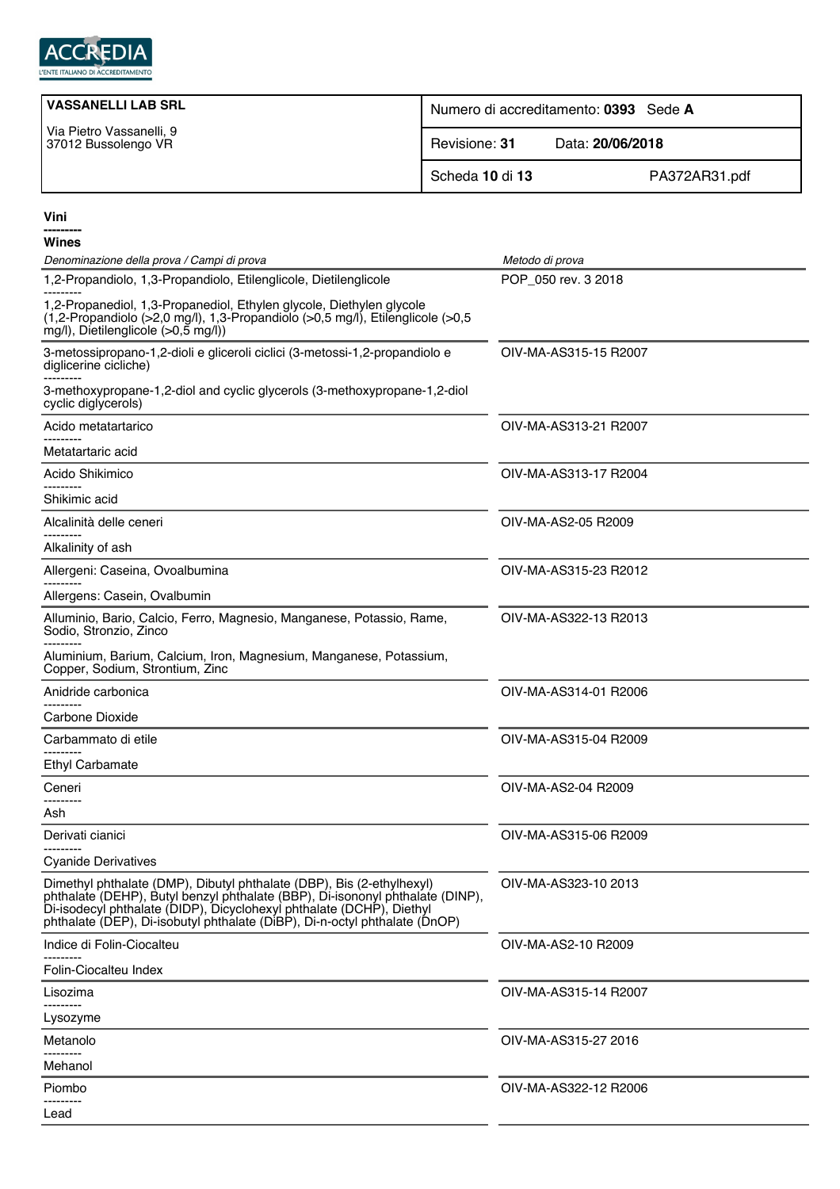

| <b>VASSANELLI LAB SRL</b>                       | Numero di accreditamento: 0393 Sede A |                  |
|-------------------------------------------------|---------------------------------------|------------------|
| Via Pietro Vassanelli, 9<br>37012 Bussolengo VR | Revisione: 31                         | Data: 20/06/2018 |
|                                                 | Scheda 10 di 13                       | PA372AR31.pdf    |

| Wines                                                                                                                                                                                                                                                                                                        |                       |  |  |
|--------------------------------------------------------------------------------------------------------------------------------------------------------------------------------------------------------------------------------------------------------------------------------------------------------------|-----------------------|--|--|
| Denominazione della prova / Campi di prova                                                                                                                                                                                                                                                                   | Metodo di prova       |  |  |
| 1,2-Propandiolo, 1,3-Propandiolo, Etilenglicole, Dietilenglicole                                                                                                                                                                                                                                             | POP_050 rev. 3 2018   |  |  |
| 1,2-Propanediol, 1,3-Propanediol, Ethylen glycole, Diethylen glycole<br>(1,2-Propandiolo (>2,0 mg/l), 1,3-Propandiolo (>0,5 mg/l), Etilenglicole (>0,5<br>$mg/l$ ), Dietilenglicole (>0,5 mg/l))                                                                                                             |                       |  |  |
| 3-metossipropano-1,2-dioli e gliceroli ciclici (3-metossi-1,2-propandiolo e<br>diglicerine cicliche)                                                                                                                                                                                                         | OIV-MA-AS315-15 R2007 |  |  |
| 3-methoxypropane-1,2-diol and cyclic glycerols (3-methoxypropane-1,2-diol<br>cyclic diglycerols)                                                                                                                                                                                                             |                       |  |  |
| Acido metatartarico                                                                                                                                                                                                                                                                                          | OIV-MA-AS313-21 R2007 |  |  |
| Metatartaric acid                                                                                                                                                                                                                                                                                            |                       |  |  |
| Acido Shikimico                                                                                                                                                                                                                                                                                              | OIV-MA-AS313-17 R2004 |  |  |
| Shikimic acid                                                                                                                                                                                                                                                                                                |                       |  |  |
| Alcalinità delle ceneri                                                                                                                                                                                                                                                                                      | OIV-MA-AS2-05 R2009   |  |  |
| Alkalinity of ash                                                                                                                                                                                                                                                                                            |                       |  |  |
| Allergeni: Caseina, Ovoalbumina                                                                                                                                                                                                                                                                              | OIV-MA-AS315-23 R2012 |  |  |
| Allergens: Casein, Ovalbumin                                                                                                                                                                                                                                                                                 |                       |  |  |
| Alluminio, Bario, Calcio, Ferro, Magnesio, Manganese, Potassio, Rame,<br>Sodio, Stronzio, Zinco                                                                                                                                                                                                              | OIV-MA-AS322-13 R2013 |  |  |
| Aluminium, Barium, Calcium, Iron, Magnesium, Manganese, Potassium,<br>Copper, Sodium, Strontium, Zinc                                                                                                                                                                                                        |                       |  |  |
| Anidride carbonica                                                                                                                                                                                                                                                                                           | OIV-MA-AS314-01 R2006 |  |  |
| Carbone Dioxide                                                                                                                                                                                                                                                                                              |                       |  |  |
| Carbammato di etile                                                                                                                                                                                                                                                                                          | OIV-MA-AS315-04 R2009 |  |  |
| <b>Ethyl Carbamate</b>                                                                                                                                                                                                                                                                                       |                       |  |  |
| Ceneri                                                                                                                                                                                                                                                                                                       | OIV-MA-AS2-04 R2009   |  |  |
| Ash                                                                                                                                                                                                                                                                                                          |                       |  |  |
| Derivati cianici                                                                                                                                                                                                                                                                                             | OIV-MA-AS315-06 R2009 |  |  |
| <b>Cyanide Derivatives</b>                                                                                                                                                                                                                                                                                   |                       |  |  |
| Dimethyl phthalate (DMP), Dibutyl phthalate (DBP), Bis (2-ethylhexyl)<br>phthalate (DEHP), Butyl benzyl phthalate (BBP), Di-isononyl phthalate (DINP),<br>Di-isodecyl phthalate (DIDP), Dicyclohexyl phthalate (DCHP), Diethyl<br>phthalate (DEP), Di-isobutyl phthalate (DiBP), Di-n-octyl phthalate (DnOP) | OIV-MA-AS323-10 2013  |  |  |
| Indice di Folin-Ciocalteu                                                                                                                                                                                                                                                                                    | OIV-MA-AS2-10 R2009   |  |  |
| Folin-Ciocalteu Index                                                                                                                                                                                                                                                                                        |                       |  |  |
| Lisozima<br>                                                                                                                                                                                                                                                                                                 | OIV-MA-AS315-14 R2007 |  |  |
| Lysozyme                                                                                                                                                                                                                                                                                                     |                       |  |  |
| Metanolo                                                                                                                                                                                                                                                                                                     | OIV-MA-AS315-27 2016  |  |  |
| .<br>Mehanol                                                                                                                                                                                                                                                                                                 |                       |  |  |
| Piombo                                                                                                                                                                                                                                                                                                       | OIV-MA-AS322-12 R2006 |  |  |

--------- Lead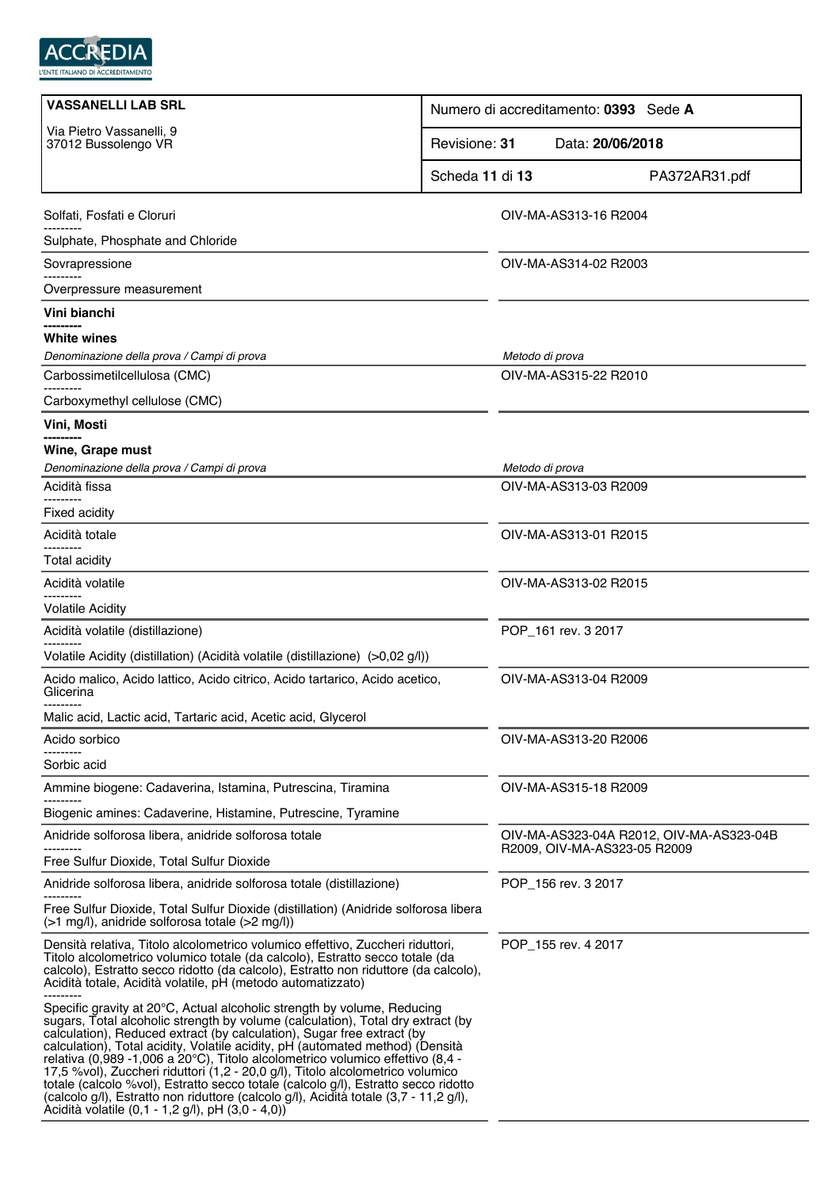

| <b>VASSANELLI LAB SRL</b>                                                                                                                                                                                                                                                                                                                                                                                                                                                                                                                                                                                                                                                                                                     | Numero di accreditamento: 0393 Sede A                                    |
|-------------------------------------------------------------------------------------------------------------------------------------------------------------------------------------------------------------------------------------------------------------------------------------------------------------------------------------------------------------------------------------------------------------------------------------------------------------------------------------------------------------------------------------------------------------------------------------------------------------------------------------------------------------------------------------------------------------------------------|--------------------------------------------------------------------------|
| Via Pietro Vassanelli, 9<br>37012 Bussolengo VR                                                                                                                                                                                                                                                                                                                                                                                                                                                                                                                                                                                                                                                                               | Revisione: 31<br>Data: 20/06/2018                                        |
|                                                                                                                                                                                                                                                                                                                                                                                                                                                                                                                                                                                                                                                                                                                               | Scheda 11 di 13<br>PA372AR31.pdf                                         |
| Solfati, Fosfati e Cloruri                                                                                                                                                                                                                                                                                                                                                                                                                                                                                                                                                                                                                                                                                                    | OIV-MA-AS313-16 R2004                                                    |
| Sulphate, Phosphate and Chloride                                                                                                                                                                                                                                                                                                                                                                                                                                                                                                                                                                                                                                                                                              |                                                                          |
| Sovrapressione                                                                                                                                                                                                                                                                                                                                                                                                                                                                                                                                                                                                                                                                                                                | OIV-MA-AS314-02 R2003                                                    |
| Overpressure measurement                                                                                                                                                                                                                                                                                                                                                                                                                                                                                                                                                                                                                                                                                                      |                                                                          |
| Vini bianchi                                                                                                                                                                                                                                                                                                                                                                                                                                                                                                                                                                                                                                                                                                                  |                                                                          |
| White wines                                                                                                                                                                                                                                                                                                                                                                                                                                                                                                                                                                                                                                                                                                                   |                                                                          |
| Denominazione della prova / Campi di prova                                                                                                                                                                                                                                                                                                                                                                                                                                                                                                                                                                                                                                                                                    | Metodo di prova                                                          |
| Carbossimetilcellulosa (CMC)                                                                                                                                                                                                                                                                                                                                                                                                                                                                                                                                                                                                                                                                                                  | OIV-MA-AS315-22 R2010                                                    |
| Carboxymethyl cellulose (CMC)                                                                                                                                                                                                                                                                                                                                                                                                                                                                                                                                                                                                                                                                                                 |                                                                          |
| Vini, Mosti                                                                                                                                                                                                                                                                                                                                                                                                                                                                                                                                                                                                                                                                                                                   |                                                                          |
| Wine, Grape must                                                                                                                                                                                                                                                                                                                                                                                                                                                                                                                                                                                                                                                                                                              |                                                                          |
| Denominazione della prova / Campi di prova<br>Acidità fissa                                                                                                                                                                                                                                                                                                                                                                                                                                                                                                                                                                                                                                                                   | Metodo di prova<br>OIV-MA-AS313-03 R2009                                 |
|                                                                                                                                                                                                                                                                                                                                                                                                                                                                                                                                                                                                                                                                                                                               |                                                                          |
| <b>Fixed acidity</b>                                                                                                                                                                                                                                                                                                                                                                                                                                                                                                                                                                                                                                                                                                          |                                                                          |
| Acidità totale                                                                                                                                                                                                                                                                                                                                                                                                                                                                                                                                                                                                                                                                                                                | OIV-MA-AS313-01 R2015                                                    |
| <b>Total acidity</b>                                                                                                                                                                                                                                                                                                                                                                                                                                                                                                                                                                                                                                                                                                          |                                                                          |
| Acidità volatile                                                                                                                                                                                                                                                                                                                                                                                                                                                                                                                                                                                                                                                                                                              | OIV-MA-AS313-02 R2015                                                    |
| <b>Volatile Acidity</b>                                                                                                                                                                                                                                                                                                                                                                                                                                                                                                                                                                                                                                                                                                       |                                                                          |
| Acidità volatile (distillazione)                                                                                                                                                                                                                                                                                                                                                                                                                                                                                                                                                                                                                                                                                              | POP_161 rev. 3 2017                                                      |
| Volatile Acidity (distillation) (Acidità volatile (distillazione) (>0,02 g/l))                                                                                                                                                                                                                                                                                                                                                                                                                                                                                                                                                                                                                                                |                                                                          |
| Acido malico, Acido lattico, Acido citrico, Acido tartarico, Acido acetico,<br>Glicerina                                                                                                                                                                                                                                                                                                                                                                                                                                                                                                                                                                                                                                      | OIV-MA-AS313-04 R2009                                                    |
| Malic acid, Lactic acid, Tartaric acid, Acetic acid, Glycerol                                                                                                                                                                                                                                                                                                                                                                                                                                                                                                                                                                                                                                                                 |                                                                          |
| Acido sorbico                                                                                                                                                                                                                                                                                                                                                                                                                                                                                                                                                                                                                                                                                                                 | OIV-MA-AS313-20 R2006                                                    |
| Sorbic acid                                                                                                                                                                                                                                                                                                                                                                                                                                                                                                                                                                                                                                                                                                                   |                                                                          |
| Ammine biogene: Cadaverina, Istamina, Putrescina, Tiramina                                                                                                                                                                                                                                                                                                                                                                                                                                                                                                                                                                                                                                                                    | OIV-MA-AS315-18 R2009                                                    |
| Biogenic amines: Cadaverine, Histamine, Putrescine, Tyramine                                                                                                                                                                                                                                                                                                                                                                                                                                                                                                                                                                                                                                                                  |                                                                          |
| Anidride solforosa libera, anidride solforosa totale                                                                                                                                                                                                                                                                                                                                                                                                                                                                                                                                                                                                                                                                          | OIV-MA-AS323-04A R2012, OIV-MA-AS323-04B<br>R2009, OIV-MA-AS323-05 R2009 |
| Free Sulfur Dioxide, Total Sulfur Dioxide                                                                                                                                                                                                                                                                                                                                                                                                                                                                                                                                                                                                                                                                                     |                                                                          |
| Anidride solforosa libera, anidride solforosa totale (distillazione)                                                                                                                                                                                                                                                                                                                                                                                                                                                                                                                                                                                                                                                          | POP_156 rev. 3 2017                                                      |
| Free Sulfur Dioxide, Total Sulfur Dioxide (distillation) (Anidride solforosa libera<br>(>1 mg/l), anidride solforosa totale (>2 mg/l))                                                                                                                                                                                                                                                                                                                                                                                                                                                                                                                                                                                        |                                                                          |
| Densità relativa, Titolo alcolometrico volumico effettivo, Zuccheri riduttori,<br>Titolo alcolometrico volumico totale (da calcolo), Estratto secco totale (da<br>calcolo), Estratto secco ridotto (da calcolo), Estratto non riduttore (da calcolo),<br>Acidità totale, Acidità volatile, pH (metodo automatizzato)                                                                                                                                                                                                                                                                                                                                                                                                          | POP_155 rev. 4 2017                                                      |
| Specific gravity at 20°C, Actual alcoholic strength by volume, Reducing<br>sugars, Total alcoholic strength by volume (calculation), Total dry extract (by<br>calculation), Reduced extract (by calculation), Sugar free extract (by<br>calculation), Total acidity, Volatile acidity, pH (automated method) (Densità<br>relativa (0,989 -1,006 a 20°C), Titolo alcolometrico volumico effettivo (8,4 -<br>17,5 %vol), Zuccheri riduttori (1,2 - 20,0 g/l), Titolo alcolometrico volumico<br>totale (calcolo %vol), Estratto secco totale (calcolo g/l), Estratto secco ridotto<br>(calcolo g/l), Estratto non riduttore (calcolo g/l), Acidità totale (3,7 - 11,2 g/l),<br>Acidità volatile (0,1 - 1,2 g/l), pH (3,0 - 4,0)) |                                                                          |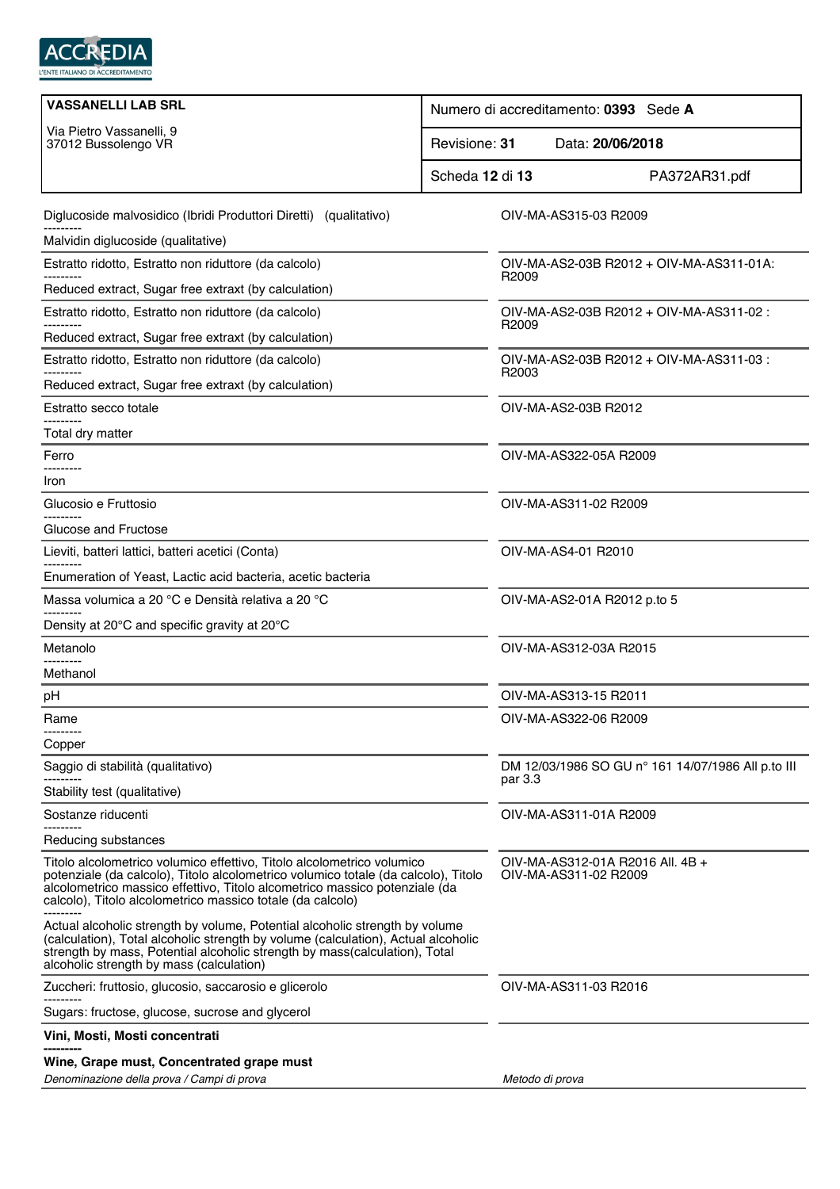

| <b>VASSANELLI LAB SRL</b>                                                                                                                                                                                                                                                                                | Numero di accreditamento: 0393 Sede A                         |
|----------------------------------------------------------------------------------------------------------------------------------------------------------------------------------------------------------------------------------------------------------------------------------------------------------|---------------------------------------------------------------|
| Via Pietro Vassanelli, 9<br>37012 Bussolengo VR                                                                                                                                                                                                                                                          | Revisione: 31<br>Data: 20/06/2018                             |
|                                                                                                                                                                                                                                                                                                          | Scheda 12 di 13<br>PA372AR31.pdf                              |
| Diglucoside malvosidico (Ibridi Produttori Diretti) (qualitativo)                                                                                                                                                                                                                                        | OIV-MA-AS315-03 R2009                                         |
| Malvidin diglucoside (qualitative)                                                                                                                                                                                                                                                                       |                                                               |
| Estratto ridotto, Estratto non riduttore (da calcolo)                                                                                                                                                                                                                                                    | OIV-MA-AS2-03B R2012 + OIV-MA-AS311-01A:<br>R2009             |
| Reduced extract, Sugar free extraxt (by calculation)                                                                                                                                                                                                                                                     |                                                               |
| Estratto ridotto, Estratto non riduttore (da calcolo)                                                                                                                                                                                                                                                    | OIV-MA-AS2-03B R2012 + OIV-MA-AS311-02 :<br>R2009             |
| Reduced extract, Sugar free extraxt (by calculation)                                                                                                                                                                                                                                                     |                                                               |
| Estratto ridotto, Estratto non riduttore (da calcolo)                                                                                                                                                                                                                                                    | OIV-MA-AS2-03B R2012 + OIV-MA-AS311-03 :<br>R <sub>2003</sub> |
| Reduced extract, Sugar free extraxt (by calculation)                                                                                                                                                                                                                                                     |                                                               |
| Estratto secco totale                                                                                                                                                                                                                                                                                    | OIV-MA-AS2-03B R2012                                          |
| Total dry matter                                                                                                                                                                                                                                                                                         |                                                               |
| Ferro                                                                                                                                                                                                                                                                                                    | OIV-MA-AS322-05A R2009                                        |
| Iron                                                                                                                                                                                                                                                                                                     |                                                               |
| Glucosio e Fruttosio                                                                                                                                                                                                                                                                                     | OIV-MA-AS311-02 R2009                                         |
| Glucose and Fructose                                                                                                                                                                                                                                                                                     |                                                               |
| Lieviti, batteri lattici, batteri acetici (Conta)                                                                                                                                                                                                                                                        | OIV-MA-AS4-01 R2010                                           |
| Enumeration of Yeast, Lactic acid bacteria, acetic bacteria                                                                                                                                                                                                                                              |                                                               |
| Massa volumica a 20 °C e Densità relativa a 20 °C                                                                                                                                                                                                                                                        | OIV-MA-AS2-01A R2012 p.to 5                                   |
| Density at 20°C and specific gravity at 20°C                                                                                                                                                                                                                                                             |                                                               |
| Metanolo                                                                                                                                                                                                                                                                                                 | OIV-MA-AS312-03A R2015                                        |
| Methanol                                                                                                                                                                                                                                                                                                 |                                                               |
| pH                                                                                                                                                                                                                                                                                                       | OIV-MA-AS313-15 R2011                                         |
| Rame                                                                                                                                                                                                                                                                                                     | OIV-MA-AS322-06 R2009                                         |
| Copper                                                                                                                                                                                                                                                                                                   |                                                               |
| Saggio di stabilità (qualitativo)                                                                                                                                                                                                                                                                        | DM 12/03/1986 SO GU n° 161 14/07/1986 All p.to III<br>par 3.3 |
| Stability test (qualitative)                                                                                                                                                                                                                                                                             |                                                               |
| Sostanze riducenti                                                                                                                                                                                                                                                                                       | OIV-MA-AS311-01A R2009                                        |
| Reducing substances                                                                                                                                                                                                                                                                                      |                                                               |
| Titolo alcolometrico volumico effettivo, Titolo alcolometrico volumico<br>potenziale (da calcolo), Titolo alcolometrico volumico totale (da calcolo), Titolo<br>alcolometrico massico effettivo, Titolo alcometrico massico potenziale (da<br>calcolo), Titolo alcolometrico massico totale (da calcolo) | OIV-MA-AS312-01A R2016 All. 4B +<br>OIV-MA-AS311-02 R2009     |
| Actual alcoholic strength by volume, Potential alcoholic strength by volume<br>(calculation), Total alcoholic strength by volume (calculation), Actual alcoholic<br>strength by mass, Potential alcoholic strength by mass(calculation), Total<br>alcoholic strength by mass (calculation)               |                                                               |
| Zuccheri: fruttosio, glucosio, saccarosio e glicerolo                                                                                                                                                                                                                                                    | OIV-MA-AS311-03 R2016                                         |
| Sugars: fructose, glucose, sucrose and glycerol                                                                                                                                                                                                                                                          |                                                               |
| Vini, Mosti, Mosti concentrati                                                                                                                                                                                                                                                                           |                                                               |
| Wine, Grape must, Concentrated grape must                                                                                                                                                                                                                                                                |                                                               |
| Denominazione della prova / Campi di prova                                                                                                                                                                                                                                                               | Metodo di prova                                               |